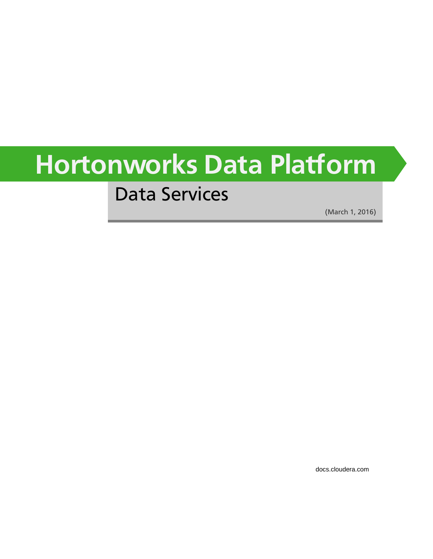# **Hortonworks Data Platform**

## Data Services

(March 1, 2016)

[docs.cloudera.com](http://docs.cloudera.com)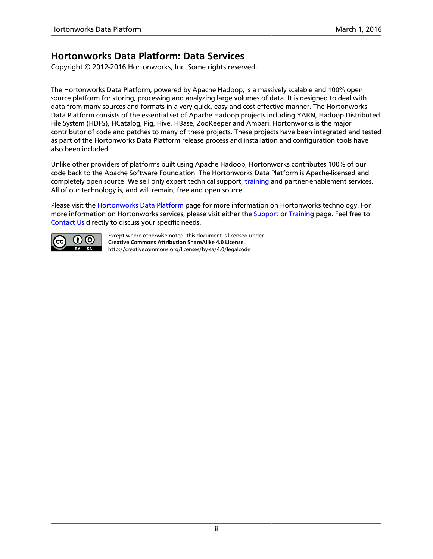### **Hortonworks Data Platform: Data Services**

Copyright © 2012-2016 Hortonworks, Inc. Some rights reserved.

The Hortonworks Data Platform, powered by Apache Hadoop, is a massively scalable and 100% open source platform for storing, processing and analyzing large volumes of data. It is designed to deal with data from many sources and formats in a very quick, easy and cost-effective manner. The Hortonworks Data Platform consists of the essential set of Apache Hadoop projects including YARN, Hadoop Distributed File System (HDFS), HCatalog, Pig, Hive, HBase, ZooKeeper and Ambari. Hortonworks is the major contributor of code and patches to many of these projects. These projects have been integrated and tested as part of the Hortonworks Data Platform release process and installation and configuration tools have also been included.

Unlike other providers of platforms built using Apache Hadoop, Hortonworks contributes 100% of our code back to the Apache Software Foundation. The Hortonworks Data Platform is Apache-licensed and completely open source. We sell only expert technical support, [training](https://hortonworks.com/training/) and partner-enablement services. All of our technology is, and will remain, free and open source.

Please visit the [Hortonworks Data Platform](https://hortonworks.com/products/hdp/) page for more information on Hortonworks technology. For more information on Hortonworks services, please visit either the [Support](https://hortonworks.com/services/) or [Training](https://hortonworks.com/training/) page. Feel free to [Contact Us](https://hortonworks.com/contact-us/) directly to discuss your specific needs.



Except where otherwise noted, this document is licensed under **[Creative Commons Attribution ShareAlike 4.0 License](http://creativecommons.org/licenses/by-sa/4.0/legalcode)**. <http://creativecommons.org/licenses/by-sa/4.0/legalcode>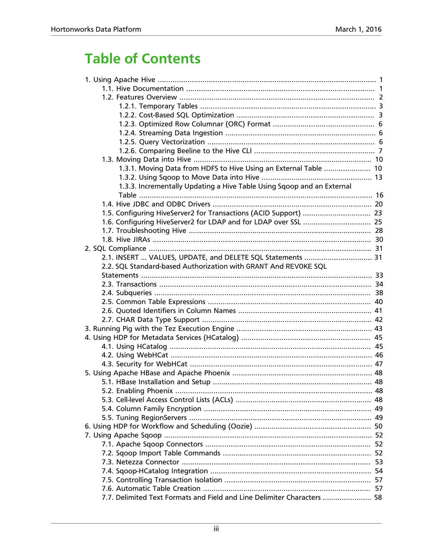## **Table of Contents**

| 1.3.1. Moving Data from HDFS to Hive Using an External Table  10        |  |
|-------------------------------------------------------------------------|--|
|                                                                         |  |
| 1.3.3. Incrementally Updating a Hive Table Using Sqoop and an External  |  |
|                                                                         |  |
|                                                                         |  |
|                                                                         |  |
|                                                                         |  |
|                                                                         |  |
|                                                                         |  |
|                                                                         |  |
| 2.1. INSERT  VALUES, UPDATE, and DELETE SQL Statements  31              |  |
| 2.2. SQL Standard-based Authorization with GRANT And REVOKE SQL         |  |
|                                                                         |  |
|                                                                         |  |
|                                                                         |  |
|                                                                         |  |
|                                                                         |  |
|                                                                         |  |
|                                                                         |  |
|                                                                         |  |
|                                                                         |  |
|                                                                         |  |
|                                                                         |  |
|                                                                         |  |
|                                                                         |  |
|                                                                         |  |
|                                                                         |  |
|                                                                         |  |
|                                                                         |  |
|                                                                         |  |
|                                                                         |  |
|                                                                         |  |
|                                                                         |  |
|                                                                         |  |
|                                                                         |  |
|                                                                         |  |
|                                                                         |  |
| 7.7. Delimited Text Formats and Field and Line Delimiter Characters  58 |  |
|                                                                         |  |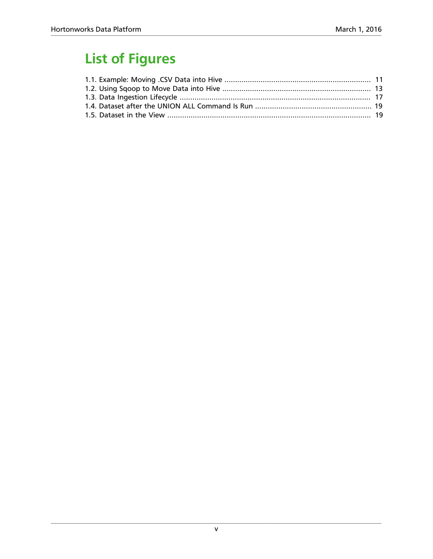## **List of Figures**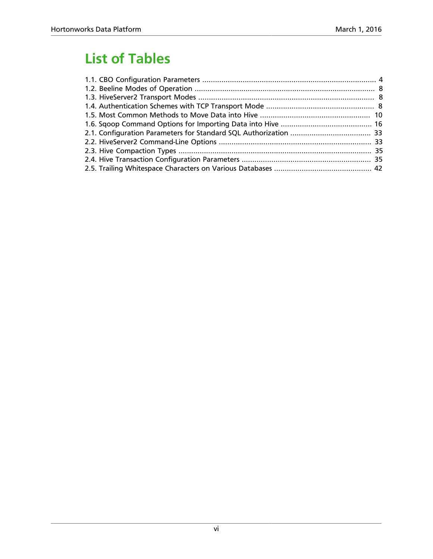## **List of Tables**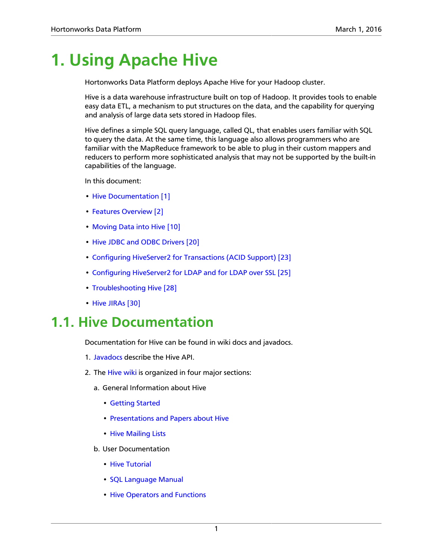## <span id="page-6-0"></span>**1. Using Apache Hive**

Hortonworks Data Platform deploys Apache Hive for your Hadoop cluster.

Hive is a data warehouse infrastructure built on top of Hadoop. It provides tools to enable easy data ETL, a mechanism to put structures on the data, and the capability for querying and analysis of large data sets stored in Hadoop files.

Hive defines a simple SQL query language, called QL, that enables users familiar with SQL to query the data. At the same time, this language also allows programmers who are familiar with the MapReduce framework to be able to plug in their custom mappers and reducers to perform more sophisticated analysis that may not be supported by the built-in capabilities of the language.

In this document:

- [Hive Documentation \[1\]](#page-6-1)
- [Features Overview \[2\]](#page-7-0)
- [Moving Data into Hive \[10\]](#page-15-0)
- [Hive JDBC and ODBC Drivers \[20\]](#page-25-0)
- [Configuring HiveServer2 for Transactions \(ACID Support\) \[23\]](#page-28-0)
- [Configuring HiveServer2 for LDAP and for LDAP over SSL \[25\]](#page-30-0)
- [Troubleshooting Hive \[28\]](#page-33-0)
- [Hive JIRAs \[30\]](#page-35-0)

### <span id="page-6-1"></span>**1.1. Hive Documentation**

Documentation for Hive can be found in wiki docs and javadocs.

- 1. [Javadocs](http://hive.apache.org/javadocs/r1.2.2/api/index.html) describe the Hive API.
- 2. The [Hive wiki](https://cwiki.apache.org/confluence/display/Hive/Home) is organized in four major sections:
	- a. General Information about Hive
		- [Getting Started](https://cwiki.apache.org/confluence/display/Hive/GettingStarted)
		- [Presentations and Papers about Hive](https://cwiki.apache.org/confluence/display/Hive/Presentations)
		- [Hive Mailing Lists](http://hive.apache.org/mailing_lists.html#Users)
	- b. User Documentation
		- [Hive Tutorial](https://cwiki.apache.org/confluence/display/Hive/Tutorial)
		- [SQL Language Manual](https://cwiki.apache.org/confluence/display/Hive/LanguageManual)
		- [Hive Operators and Functions](https://cwiki.apache.org/confluence/display/Hive/OperatorsAndFunctions)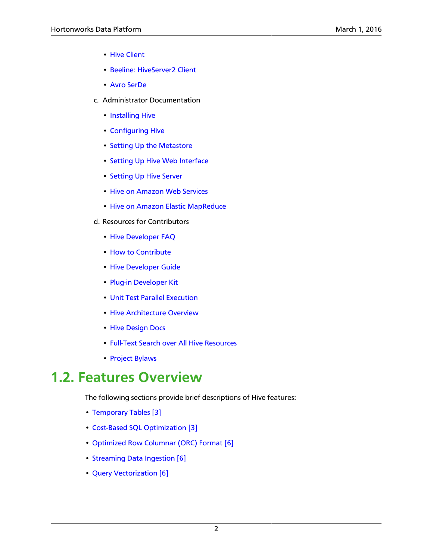- [Hive Client](https://cwiki.apache.org/confluence/display/Hive/HiveClient)
- [Beeline: HiveServer2 Client](https://cwiki.apache.org/confluence/display/Hive/HiveServer2+Clients)
- [Avro SerDe](https://cwiki.apache.org/confluence/display/Hive/AvroSerDe)
- c. Administrator Documentation
	- [Installing Hive](https://cwiki.apache.org/confluence/display/Hive/AdminManual+Installation)
	- [Configuring Hive](https://cwiki.apache.org/confluence/display/Hive/AdminManual+Configuration)
	- [Setting Up the Metastore](https://cwiki.apache.org/confluence/display/Hive/AdminManual+MetastoreAdmin)
	- [Setting Up Hive Web Interface](https://cwiki.apache.org/confluence/display/Hive/HiveWebInterface)
	- [Setting Up Hive Server](https://cwiki.apache.org/confluence/display/Hive/AdminManual+SettingUpHiveServer)
	- [Hive on Amazon Web Services](https://cwiki.apache.org/confluence/display/Hive/HiveAws)
	- [Hive on Amazon Elastic MapReduce](https://cwiki.apache.org/confluence/display/Hive/HiveAmazonElasticMapReduce)
- d. Resources for Contributors
	- [Hive Developer FAQ](https://cwiki.apache.org/confluence/display/Hive/HiveDeveloperFAQ)
	- [How to Contribute](https://cwiki.apache.org/confluence/display/Hive/HowToContribute)
	- [Hive Developer Guide](https://cwiki.apache.org/confluence/display/Hive/DeveloperGuide)
	- [Plug-in Developer Kit](https://cwiki.apache.org/confluence/display/Hive/PluginDeveloperKit)
	- [Unit Test Parallel Execution](https://cwiki.apache.org/confluence/display/Hive/Unit+Test+Parallel+Execution)
	- [Hive Architecture Overview](https://cwiki.apache.org/confluence/display/Hive/Design)
	- [Hive Design Docs](https://cwiki.apache.org/confluence/display/Hive/DesignDocs)
	- [Full-Text Search over All Hive Resources](http://search-hadoop.com/Hive)
	- [Project Bylaws](https://cwiki.apache.org/confluence/display/Hive/Bylaws)

### <span id="page-7-0"></span>**1.2. Features Overview**

The following sections provide brief descriptions of Hive features:

- [Temporary Tables \[3\]](#page-8-0)
- [Cost-Based SQL Optimization \[3\]](#page-8-1)
- [Optimized Row Columnar \(ORC\) Format \[6\]](#page-11-0)
- [Streaming Data Ingestion \[6\]](#page-11-1)
- [Query Vectorization \[6\]](#page-11-2)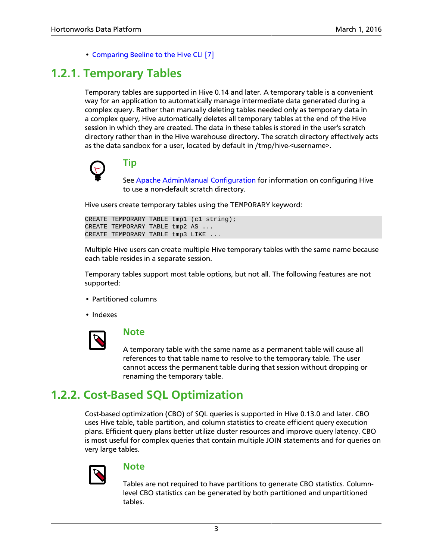• [Comparing Beeline to the Hive CLI \[7\]](#page-12-0)

### <span id="page-8-0"></span>**1.2.1. Temporary Tables**

Temporary tables are supported in Hive 0.14 and later. A temporary table is a convenient way for an application to automatically manage intermediate data generated during a complex query. Rather than manually deleting tables needed only as temporary data in a complex query, Hive automatically deletes all temporary tables at the end of the Hive session in which they are created. The data in these tables is stored in the user's scratch directory rather than in the Hive warehouse directory. The scratch directory effectively acts as the data sandbox for a user, located by default in /tmp/hive-<username>.



### **Tip**

See [Apache AdminManual Configuration](https://cwiki.apache.org/confluence/display/Hive/AdminManual+Configuration) for information on configuring Hive to use a non-default scratch directory.

Hive users create temporary tables using the TEMPORARY keyword:

```
CREATE TEMPORARY TABLE tmp1 (c1 string);
CREATE TEMPORARY TABLE tmp2 AS ...
CREATE TEMPORARY TABLE tmp3 LIKE ...
```
Multiple Hive users can create multiple Hive temporary tables with the same name because each table resides in a separate session.

Temporary tables support most table options, but not all. The following features are not supported:

- Partitioned columns
- Indexes



### **Note**

A temporary table with the same name as a permanent table will cause all references to that table name to resolve to the temporary table. The user cannot access the permanent table during that session without dropping or renaming the temporary table.

### <span id="page-8-1"></span>**1.2.2. Cost-Based SQL Optimization**

Cost-based optimization (CBO) of SQL queries is supported in Hive 0.13.0 and later. CBO uses Hive table, table partition, and column statistics to create efficient query execution plans. Efficient query plans better utilize cluster resources and improve query latency. CBO is most useful for complex queries that contain multiple JOIN statements and for queries on very large tables.



#### **Note**

Tables are not required to have partitions to generate CBO statistics. Columnlevel CBO statistics can be generated by both partitioned and unpartitioned tables.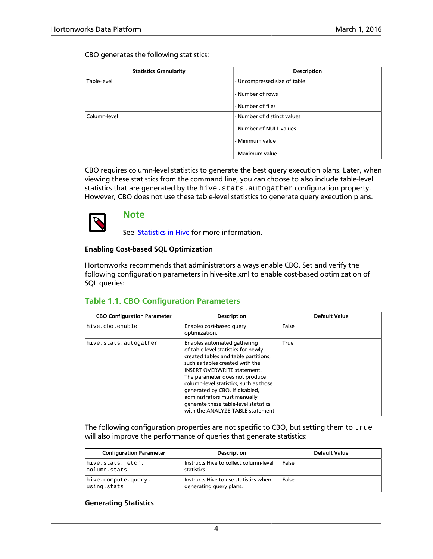CBO generates the following statistics:

| <b>Statistics Granularity</b> | <b>Description</b>           |
|-------------------------------|------------------------------|
| Table-level                   | - Uncompressed size of table |
|                               | - Number of rows             |
|                               | - Number of files            |
| Column-level                  | - Number of distinct values  |
|                               | - Number of NULL values      |
|                               | - Minimum value              |
|                               | - Maximum value              |

CBO requires column-level statistics to generate the best query execution plans. Later, when viewing these statistics from the command line, you can choose to also include table-level statistics that are generated by the hive.stats.autogather configuration property. However, CBO does not use these table-level statistics to generate query execution plans.



#### **Note**

See [Statistics in Hive](https://cwiki.apache.org/confluence/display/Hive/StatsDev) for more information.

#### **Enabling Cost-based SQL Optimization**

Hortonworks recommends that administrators always enable CBO. Set and verify the following configuration parameters in hive-site.xml to enable cost-based optimization of SQL queries:

### <span id="page-9-0"></span>**Table 1.1. CBO Configuration Parameters**

| <b>CBO Configuration Parameter</b> | <b>Description</b>                                                                                                                                                                                                                                                                                                                                                                                              | <b>Default Value</b> |
|------------------------------------|-----------------------------------------------------------------------------------------------------------------------------------------------------------------------------------------------------------------------------------------------------------------------------------------------------------------------------------------------------------------------------------------------------------------|----------------------|
| hive.cbo.enable                    | Enables cost-based query<br>optimization.                                                                                                                                                                                                                                                                                                                                                                       | False                |
| hive.stats.autogather              | Enables automated gathering<br>of table-level statistics for newly<br>created tables and table partitions,<br>such as tables created with the<br><b>INSERT OVERWRITE statement.</b><br>The parameter does not produce<br>column-level statistics, such as those<br>generated by CBO. If disabled,<br>administrators must manually<br>generate these table-level statistics<br>with the ANALYZE TABLE statement. | True                 |

The following configuration properties are not specific to CBO, but setting them to true will also improve the performance of queries that generate statistics:

| <b>Configuration Parameter</b>     | <b>Description</b>                                               | Default Value |
|------------------------------------|------------------------------------------------------------------|---------------|
| hive.stats.fetch.<br>column.stats  | Instructs Hive to collect column-level<br>statistics.            | False         |
| hive.compute.query.<br>using.stats | Instructs Hive to use statistics when<br>generating query plans. | False         |

#### **Generating Statistics**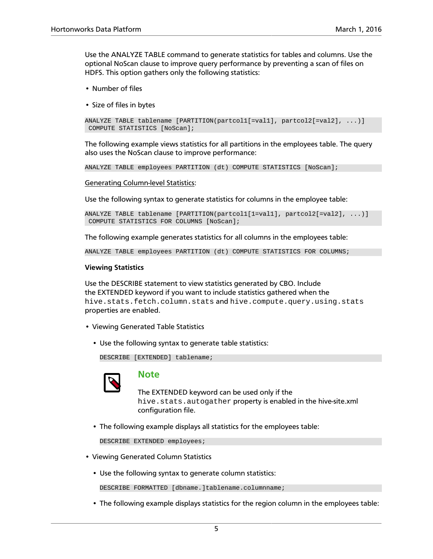Use the ANALYZE TABLE command to generate statistics for tables and columns. Use the optional NoScan clause to improve query performance by preventing a scan of files on HDFS. This option gathers only the following statistics:

- Number of files
- Size of files in bytes

```
ANALYZE TABLE tablename [PARTITION(partcol1[=val1], partcol2[=val2], ...)]
 COMPUTE STATISTICS [NoScan];
```
The following example views statistics for all partitions in the employees table. The query also uses the NoScan clause to improve performance:

ANALYZE TABLE employees PARTITION (dt) COMPUTE STATISTICS [NoScan];

Generating Column-level Statistics:

Use the following syntax to generate statistics for columns in the employee table:

```
ANALYZE TABLE tablename [PARTITION(partcol1[1=val1], partcol2[=val2], ...)]
 COMPUTE STATISTICS FOR COLUMNS [NoScan];
```
The following example generates statistics for all columns in the employees table:

ANALYZE TABLE employees PARTITION (dt) COMPUTE STATISTICS FOR COLUMNS;

#### **Viewing Statistics**

Use the DESCRIBE statement to view statistics generated by CBO. Include the EXTENDED keyword if you want to include statistics gathered when the hive.stats.fetch.column.stats and hive.compute.query.using.stats properties are enabled.

- Viewing Generated Table Statistics
	- Use the following syntax to generate table statistics:

DESCRIBE [EXTENDED] tablename;



#### **Note**

The EXTENDED keyword can be used only if the hive.stats.autogather property is enabled in the hive-site.xml configuration file.

• The following example displays all statistics for the employees table:

DESCRIBE EXTENDED employees;

- Viewing Generated Column Statistics
	- Use the following syntax to generate column statistics:

DESCRIBE FORMATTED [dbname.]tablename.columnname;

• The following example displays statistics for the region column in the employees table: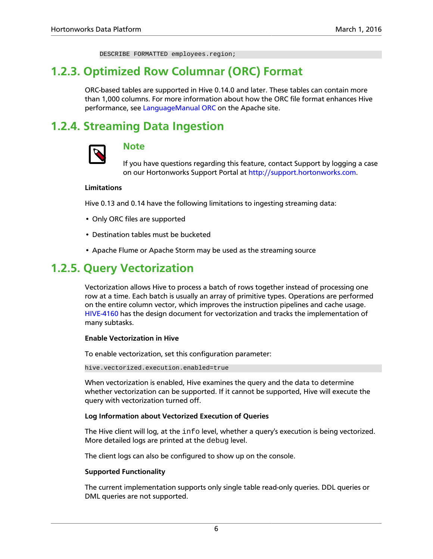DESCRIBE FORMATTED employees.region;

### <span id="page-11-0"></span>**1.2.3. Optimized Row Columnar (ORC) Format**

ORC-based tables are supported in Hive 0.14.0 and later. These tables can contain more than 1,000 columns. For more information about how the ORC file format enhances Hive performance, see [LanguageManual ORC](https://cwiki.apache.org/confluence/display/Hive/LanguageManual+ORC) on the Apache site.

### <span id="page-11-1"></span>**1.2.4. Streaming Data Ingestion**



### **Note**

If you have questions regarding this feature, contact Support by logging a case on our Hortonworks Support Portal at [http://support.hortonworks.com.](https://support.hortonworks.com)

#### **Limitations**

Hive 0.13 and 0.14 have the following limitations to ingesting streaming data:

- Only ORC files are supported
- Destination tables must be bucketed
- Apache Flume or Apache Storm may be used as the streaming source

### <span id="page-11-2"></span>**1.2.5. Query Vectorization**

Vectorization allows Hive to process a batch of rows together instead of processing one row at a time. Each batch is usually an array of primitive types. Operations are performed on the entire column vector, which improves the instruction pipelines and cache usage. [HIVE-4160](https://issues.apache.org/jira/browse/HIVE-4160) has the design document for vectorization and tracks the implementation of many subtasks.

#### **Enable Vectorization in Hive**

To enable vectorization, set this configuration parameter:

hive.vectorized.execution.enabled=true

When vectorization is enabled, Hive examines the query and the data to determine whether vectorization can be supported. If it cannot be supported, Hive will execute the query with vectorization turned off.

#### **Log Information about Vectorized Execution of Queries**

The Hive client will log, at the info level, whether a query's execution is being vectorized. More detailed logs are printed at the debug level.

The client logs can also be configured to show up on the console.

#### **Supported Functionality**

The current implementation supports only single table read-only queries. DDL queries or DML queries are not supported.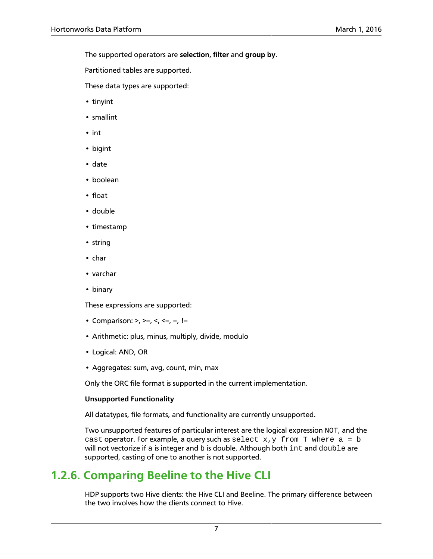The supported operators are **selection**, **filter** and **group by**.

Partitioned tables are supported.

These data types are supported:

- tinyint
- smallint
- int
- bigint
- date
- boolean
- float
- double
- timestamp
- string
- char
- varchar
- binary

These expressions are supported:

- Comparison: >, >=, <, <=, =, !=
- Arithmetic: plus, minus, multiply, divide, modulo
- Logical: AND, OR
- Aggregates: sum, avg, count, min, max

Only the ORC file format is supported in the current implementation.

#### **Unsupported Functionality**

All datatypes, file formats, and functionality are currently unsupported.

Two unsupported features of particular interest are the logical expression NOT, and the cast operator. For example, a query such as select  $x,y$  from T where  $a = b$ will not vectorize if a is integer and  $b$  is double. Although both int and  $double$  are supported, casting of one to another is not supported.

### <span id="page-12-0"></span>**1.2.6. Comparing Beeline to the Hive CLI**

HDP supports two Hive clients: the Hive CLI and Beeline. The primary difference between the two involves how the clients connect to Hive.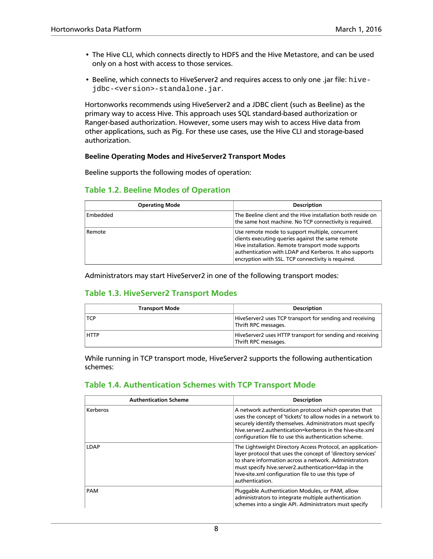- The Hive CLI, which connects directly to HDFS and the Hive Metastore, and can be used only on a host with access to those services.
- Beeline, which connects to HiveServer2 and requires access to only one .jar file: hivejdbc-<version>-standalone.jar.

Hortonworks recommends using HiveServer2 and a JDBC client (such as Beeline) as the primary way to access Hive. This approach uses SQL standard-based authorization or Ranger-based authorization. However, some users may wish to access Hive data from other applications, such as Pig. For these use cases, use the Hive CLI and storage-based authorization.

#### **Beeline Operating Modes and HiveServer2 Transport Modes**

Beeline supports the following modes of operation:

#### <span id="page-13-0"></span>**Table 1.2. Beeline Modes of Operation**

| <b>Operating Mode</b> | <b>Description</b>                                                                                                                                                                                                                                                         |
|-----------------------|----------------------------------------------------------------------------------------------------------------------------------------------------------------------------------------------------------------------------------------------------------------------------|
| Embedded              | The Beeline client and the Hive installation both reside on<br>the same host machine. No TCP connectivity is required.                                                                                                                                                     |
| Remote                | Use remote mode to support multiple, concurrent<br>clients executing queries against the same remote<br>Hive installation. Remote transport mode supports<br>authentication with LDAP and Kerberos. It also supports<br>encryption with SSL. TCP connectivity is required. |

Administrators may start HiveServer2 in one of the following transport modes:

### <span id="page-13-1"></span>**Table 1.3. HiveServer2 Transport Modes**

| <b>Transport Mode</b> | <b>Description</b>                                                                |
|-----------------------|-----------------------------------------------------------------------------------|
| <b>TCP</b>            | HiveServer2 uses TCP transport for sending and receiving<br>Thrift RPC messages.  |
| <b>HTTP</b>           | HiveServer2 uses HTTP transport for sending and receiving<br>Thrift RPC messages. |

While running in TCP transport mode, HiveServer2 supports the following authentication schemes:

### <span id="page-13-2"></span>**Table 1.4. Authentication Schemes with TCP Transport Mode**

| <b>Authentication Scheme</b> | <b>Description</b>                                                                                                                                                                                                                                                                                                     |
|------------------------------|------------------------------------------------------------------------------------------------------------------------------------------------------------------------------------------------------------------------------------------------------------------------------------------------------------------------|
| Kerberos                     | A network authentication protocol which operates that<br>uses the concept of 'tickets' to allow nodes in a network to<br>securely identify themselves. Administrators must specify<br>hive server 2 authentication=kerberos in the hive-site xml<br>configuration file to use this authentication scheme.              |
| LDAP                         | The Lightweight Directory Access Protocol, an application-<br>layer protocol that uses the concept of 'directory services'<br>to share information across a network. Administrators<br>must specify hive.server2.authentication=Idap in the<br>hive-site.xml configuration file to use this type of<br>authentication. |
| PAM                          | Pluggable Authentication Modules, or PAM, allow<br>administrators to integrate multiple authentication<br>schemes into a single API. Administrators must specify                                                                                                                                                       |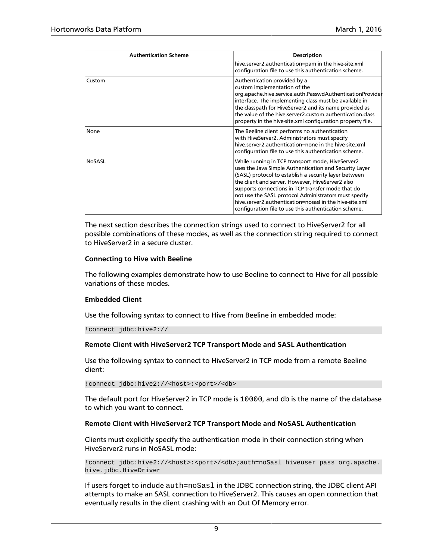| <b>Authentication Scheme</b> | <b>Description</b>                                                                                                                                                                                                                                                                                                                                                                                                                                        |
|------------------------------|-----------------------------------------------------------------------------------------------------------------------------------------------------------------------------------------------------------------------------------------------------------------------------------------------------------------------------------------------------------------------------------------------------------------------------------------------------------|
|                              | hive.server2.authentication=pam in the hive-site.xml<br>configuration file to use this authentication scheme.                                                                                                                                                                                                                                                                                                                                             |
| Custom                       | Authentication provided by a<br>custom implementation of the<br>org.apache.hive.service.auth.PasswdAuthenticationProvider<br>interface. The implementing class must be available in<br>the classpath for HiveServer2 and its name provided as<br>the value of the hive server 2 custom authentication class<br>property in the hive-site.xml configuration property file.                                                                                 |
| None                         | The Beeline client performs no authentication<br>with HiveServer2. Administrators must specify<br>hive server2 authentication=none in the hive-site xml<br>configuration file to use this authentication scheme.                                                                                                                                                                                                                                          |
| <b>NoSASL</b>                | While running in TCP transport mode, HiveServer2<br>uses the Java Simple Authentication and Security Layer<br>(SASL) protocol to establish a security layer between<br>the client and server. However, HiveServer2 also<br>supports connections in TCP transfer mode that do<br>not use the SASL protocol Administrators must specify<br>hive server2 authentication=nosasl in the hive-site xml<br>configuration file to use this authentication scheme. |

The next section describes the connection strings used to connect to HiveServer2 for all possible combinations of these modes, as well as the connection string required to connect to HiveServer2 in a secure cluster.

#### **Connecting to Hive with Beeline**

The following examples demonstrate how to use Beeline to connect to Hive for all possible variations of these modes.

#### **Embedded Client**

Use the following syntax to connect to Hive from Beeline in embedded mode:

```
!connect jdbc:hive2://
```
#### **Remote Client with HiveServer2 TCP Transport Mode and SASL Authentication**

Use the following syntax to connect to HiveServer2 in TCP mode from a remote Beeline client:

!connect jdbc:hive2://<host>:<port>/<db>

The default port for HiveServer2 in TCP mode is 10000, and db is the name of the database to which you want to connect.

#### **Remote Client with HiveServer2 TCP Transport Mode and NoSASL Authentication**

Clients must explicitly specify the authentication mode in their connection string when HiveServer2 runs in NoSASL mode:

!connect jdbc:hive2://<host>:<port>/<db>;auth=noSasl hiveuser pass org.apache. hive.jdbc.HiveDriver

If users forget to include auth=noSasl in the JDBC connection string, the JDBC client API attempts to make an SASL connection to HiveServer2. This causes an open connection that eventually results in the client crashing with an Out Of Memory error.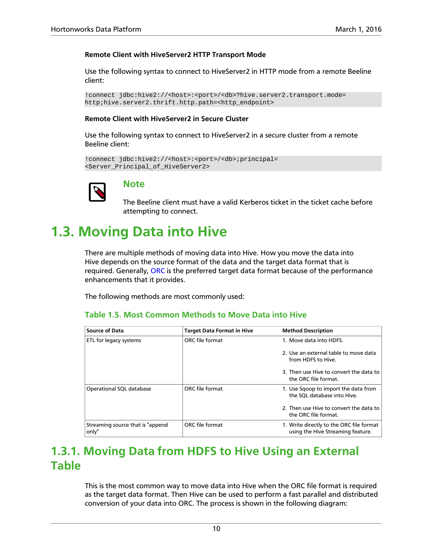#### **Remote Client with HiveServer2 HTTP Transport Mode**

Use the following syntax to connect to HiveServer2 in HTTP mode from a remote Beeline client:

```
!connect jdbc:hive2://<host>:<port>/<db>?hive.server2.transport.mode=
http;hive.server2.thrift.http.path=<http_endpoint>
```
#### **Remote Client with HiveServer2 in Secure Cluster**

Use the following syntax to connect to HiveServer2 in a secure cluster from a remote Beeline client:

```
!connect jdbc:hive2://<host>:<port>/<db>;principal=
<Server_Principal_of_HiveServer2>
```


### **Note**

The Beeline client must have a valid Kerberos ticket in the ticket cache before attempting to connect.

## <span id="page-15-0"></span>**1.3. Moving Data into Hive**

There are multiple methods of moving data into Hive. How you move the data into Hive depends on the source format of the data and the target data format that is required. Generally, [ORC](#page-11-0) is the preferred target data format because of the performance enhancements that it provides.

<span id="page-15-2"></span>The following methods are most commonly used:

#### **Table 1.5. Most Common Methods to Move Data into Hive**

| <b>Source of Data</b>                      | <b>Target Data Format in Hive</b> | <b>Method Description</b>                                                     |
|--------------------------------------------|-----------------------------------|-------------------------------------------------------------------------------|
| <b>ETL for legacy systems</b>              | ORC file format                   | 1. Move data into HDFS.                                                       |
|                                            |                                   | 2. Use an external table to move data<br>from HDFS to Hive.                   |
|                                            |                                   | 3. Then use Hive to convert the data to<br>the ORC file format.               |
| Operational SQL database                   | ORC file format                   | 1. Use Sqoop to import the data from<br>the SQL database into Hive.           |
|                                            |                                   | 2. Then use Hive to convert the data to<br>the ORC file format.               |
| Streaming source that is "append"<br>only" | ORC file format                   | 1. Write directly to the ORC file format<br>using the Hive Streaming feature. |

### <span id="page-15-1"></span>**1.3.1. Moving Data from HDFS to Hive Using an External Table**

This is the most common way to move data into Hive when the ORC file format is required as the target data format. Then Hive can be used to perform a fast parallel and distributed conversion of your data into ORC. The process is shown in the following diagram: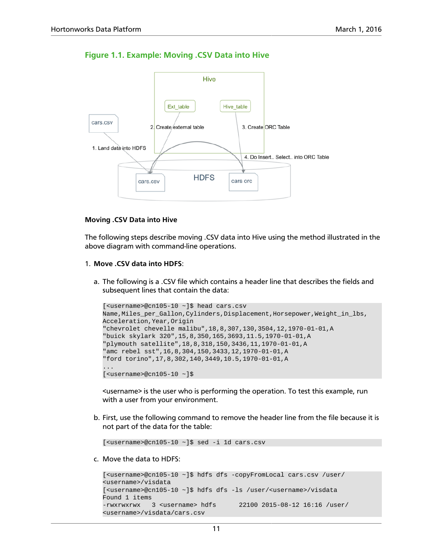<span id="page-16-0"></span>



#### **Moving .CSV Data into Hive**

The following steps describe moving .CSV data into Hive using the method illustrated in the above diagram with command-line operations.

- 1. **Move .CSV data into HDFS**:
	- a. The following is a .CSV file which contains a header line that describes the fields and subsequent lines that contain the data:

```
[<username>@cn105-10 ~]$ head cars.csv
Name, Miles_per_Gallon, Cylinders, Displacement, Horsepower, Weight_in_lbs,
Acceleration,Year,Origin
"chevrolet chevelle malibu",18,8,307,130,3504,12,1970-01-01,A
"buick skylark 320",15,8,350,165,3693,11.5,1970-01-01,A
"plymouth satellite",18,8,318,150,3436,11,1970-01-01,A
"amc rebel sst",16,8,304,150,3433,12,1970-01-01,A
"ford torino",17,8,302,140,3449,10.5,1970-01-01,A
...
[ <username>@cn105-10 ~]$
```
<username> is the user who is performing the operation. To test this example, run with a user from your environment.

b. First, use the following command to remove the header line from the file because it is not part of the data for the table:

[<username>@cn105-10 ~]\$ sed -i 1d cars.csv

c. Move the data to HDFS:

```
[<username>@cn105-10 ~]$ hdfs dfs -copyFromLocal cars.csv /user/
<username>/visdata
[<username>@cn105-10 ~]$ hdfs dfs -ls /user/<username>/visdata
Found 1 items
-rwxrwxrwx 3 <username> hdfs 22100 2015-08-12 16:16 /user/
<username>/visdata/cars.csv
```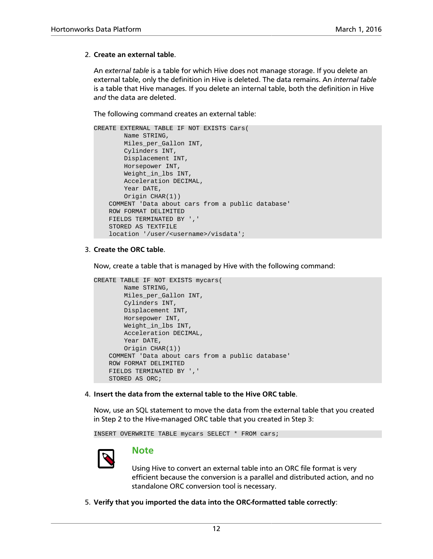#### 2. **Create an external table**.

An *external table* is a table for which Hive does not manage storage. If you delete an external table, only the definition in Hive is deleted. The data remains. An *internal table* is a table that Hive manages. If you delete an internal table, both the definition in Hive *and* the data are deleted.

The following command creates an external table:

```
CREATE EXTERNAL TABLE IF NOT EXISTS Cars(
        Name STRING, 
        Miles_per_Gallon INT,
        Cylinders INT,
        Displacement INT,
        Horsepower INT, 
        Weight_in_lbs INT,
        Acceleration DECIMAL,
        Year DATE,
        Origin CHAR(1))
     COMMENT 'Data about cars from a public database'
     ROW FORMAT DELIMITED
     FIELDS TERMINATED BY ','
     STORED AS TEXTFILE
     location '/user/<username>/visdata';
```
#### 3. **Create the ORC table**.

Now, create a table that is managed by Hive with the following command:

```
CREATE TABLE IF NOT EXISTS mycars(
        Name STRING, 
        Miles_per_Gallon INT,
        Cylinders INT,
        Displacement INT,
        Horsepower INT, 
        Weight_in_lbs INT,
        Acceleration DECIMAL,
        Year DATE,
        Origin CHAR(1))
     COMMENT 'Data about cars from a public database'
     ROW FORMAT DELIMITED
     FIELDS TERMINATED BY ','
     STORED AS ORC;
```
4. **Insert the data from the external table to the Hive ORC table**.

Now, use an SQL statement to move the data from the external table that you created in Step 2 to the Hive-managed ORC table that you created in Step 3:

INSERT OVERWRITE TABLE mycars SELECT \* FROM cars;



### **Note**

Using Hive to convert an external table into an ORC file format is very efficient because the conversion is a parallel and distributed action, and no standalone ORC conversion tool is necessary.

5. **Verify that you imported the data into the ORC-formatted table correctly**: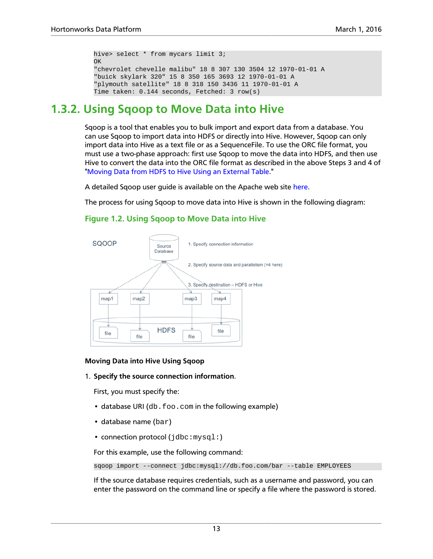```
hive> select * from mycars limit 3;
OK
"chevrolet chevelle malibu" 18 8 307 130 3504 12 1970-01-01 A
"buick skylark 320" 15 8 350 165 3693 12 1970-01-01 A
"plymouth satellite" 18 8 318 150 3436 11 1970-01-01 A
Time taken: 0.144 seconds, Fetched: 3 row(s)
```
### <span id="page-18-0"></span>**1.3.2. Using Sqoop to Move Data into Hive**

Sqoop is a tool that enables you to bulk import and export data from a database. You can use Sqoop to import data into HDFS or directly into Hive. However, Sqoop can only import data into Hive as a text file or as a SequenceFile. To use the ORC file format, you must use a two-phase approach: first use Sqoop to move the data into HDFS, and then use Hive to convert the data into the ORC file format as described in the above Steps 3 and 4 of ["Moving Data from HDFS to Hive Using an External Table.](#page-15-1)"

A detailed Sqoop user guide is available on the Apache web site [here](https://sqoop.apache.org/docs/1.4.6/SqoopUserGuide.html).

<span id="page-18-1"></span>The process for using Sqoop to move data into Hive is shown in the following diagram:

#### **Figure 1.2. Using Sqoop to Move Data into Hive**



#### **Moving Data into Hive Using Sqoop**

1. **Specify the source connection information**.

First, you must specify the:

- database URI (db.foo.com in the following example)
- database name (bar)
- connection protocol (jdbc:mysql:)

For this example, use the following command:

sqoop import --connect jdbc:mysql://db.foo.com/bar --table EMPLOYEES

If the source database requires credentials, such as a username and password, you can enter the password on the command line or specify a file where the password is stored.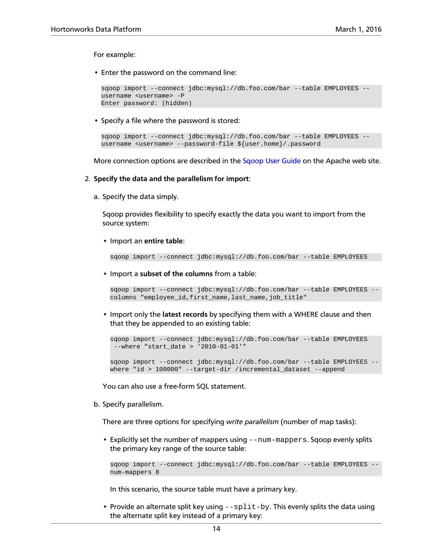For example:

• Enter the password on the command line:

```
sqoop import --connect jdbc:mysql://db.foo.com/bar --table EMPLOYEES --
username <username> -P
Enter password: (hidden)
```
• Specify a file where the password is stored:

```
sqoop import --connect jdbc:mysql://db.foo.com/bar --table EMPLOYEES --
username <username> --password-file ${user.home}/.password
```
More connection options are described in the [Sqoop User Guide](https://sqoop.apache.org/docs/1.4.6/SqoopUserGuide.html#_connecting_to_a_database_server) on the Apache web site.

- 2. **Specify the data and the parallelism for import**:
	- a. Specify the data simply.

Sqoop provides flexibility to specify exactly the data you want to import from the source system:

• Import an **entire table**:

sqoop import --connect jdbc:mysql://db.foo.com/bar --table EMPLOYEES

• Import a **subset of the columns** from a table:

```
sqoop import --connect jdbc:mysql://db.foo.com/bar --table EMPLOYEES --
columns "employee_id,first_name,last_name,job_title"
```
• Import only the **latest records** by specifying them with a WHERE clause and then that they be appended to an existing table:

```
sqoop import --connect jdbc:mysql://db.foo.com/bar --table EMPLOYEES 
 --where "start_date > '2010-01-01'"
sqoop import --connect jdbc:mysql://db.foo.com/bar --table EMPLOYEES --
where "id > 100000" --target-dir /incremental_dataset --append
```
You can also use a free-form SQL statement.

b. Specify parallelism.

There are three options for specifying *write parallelism* (number of map tasks):

• Explicitly set the number of mappers using --num-mappers. Sqoop evenly splits the primary key range of the source table:

```
sqoop import --connect jdbc:mysql://db.foo.com/bar --table EMPLOYEES --
num-mappers 8
```
In this scenario, the source table must have a primary key.

• Provide an alternate split key using  $-\text{split-by}$ . This evenly splits the data using the alternate split key instead of a primary key: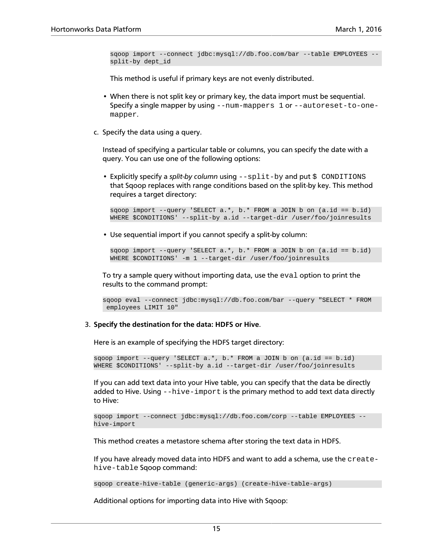sqoop import --connect jdbc:mysql://db.foo.com/bar --table EMPLOYEES - split-by dept\_id

This method is useful if primary keys are not evenly distributed.

- When there is not split key or primary key, the data import must be sequential. Specify a single mapper by using  $-{\text{num-mappers}}$  1 or  $-{\text{autoreset-to-one}}$ mapper.
- c. Specify the data using a query.

Instead of specifying a particular table or columns, you can specify the date with a query. You can use one of the following options:

• Explicitly specify a *split-by column* using  $-\text{split-by}$  and put  $\sharp$  CONDITIONS that Sqoop replaces with range conditions based on the split-by key. This method requires a target directory:

sqoop import --query 'SELECT a.\*, b.\* FROM a JOIN b on (a.id == b.id) WHERE \$CONDITIONS' --split-by a.id --target-dir /user/foo/joinresults

• Use sequential import if you cannot specify a split-by column:

```
sqoop import --query 'SELECT a.*, b.* FROM a JOIN b on (a.id == b.id) 
WHERE $CONDITIONS' -m 1 --target-dir /user/foo/joinresults
```
To try a sample query without importing data, use the eval option to print the results to the command prompt:

```
sqoop eval --connect jdbc:mysql://db.foo.com/bar --query "SELECT * FROM
 employees LIMIT 10"
```
#### 3. **Specify the destination for the data: HDFS or Hive**.

Here is an example of specifying the HDFS target directory:

sqoop import --query 'SELECT a.\*, b.\* FROM a JOIN b on (a.id == b.id) WHERE \$CONDITIONS' --split-by a.id --target-dir /user/foo/joinresults

If you can add text data into your Hive table, you can specify that the data be directly added to Hive. Using --hive-import is the primary method to add text data directly to Hive:

```
sqoop import --connect jdbc:mysql://db.foo.com/corp --table EMPLOYEES --
hive-import
```
This method creates a metastore schema after storing the text data in HDFS.

If you have already moved data into HDFS and want to add a schema, use the createhive-table Sqoop command:

sqoop create-hive-table (generic-args) (create-hive-table-args)

Additional options for importing data into Hive with Sqoop: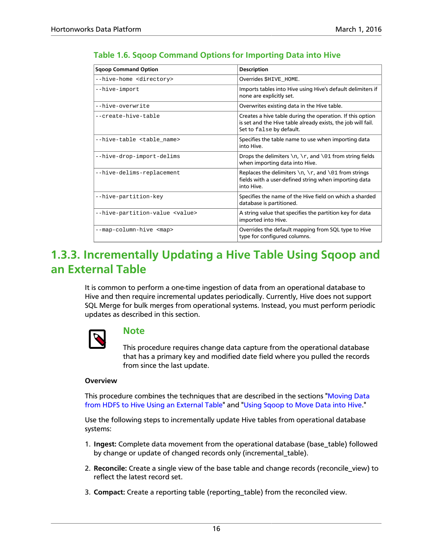| <b>Sgoop Command Option</b>            | <b>Description</b>                                                                                                                                    |
|----------------------------------------|-------------------------------------------------------------------------------------------------------------------------------------------------------|
| --hive-home <directory></directory>    | Overrides SHIVE HOME.                                                                                                                                 |
| --hive-import                          | Imports tables into Hive using Hive's default delimiters if<br>none are explicitly set.                                                               |
| --hive-overwrite                       | Overwrites existing data in the Hive table.                                                                                                           |
| --create-hive-table                    | Creates a hive table during the operation. If this option<br>is set and the Hive table already exists, the job will fail.<br>Set to false by default. |
| --hive-table <table name=""></table>   | Specifies the table name to use when importing data<br>into Hive.                                                                                     |
| --hive-drop-import-delims              | Drops the delimiters $\n\cdot r$ , and $\01$ from string fields<br>when importing data into Hive.                                                     |
| --hive-delims-replacement              | Replaces the delimiters $\n\cdot x$ , $\cdot x$ , and $\cdot 01$ from strings<br>fields with a user-defined string when importing data<br>into Hive.  |
| --hive-partition-key                   | Specifies the name of the Hive field on which a sharded<br>database is partitioned.                                                                   |
| --hive-partition-value <value></value> | A string value that specifies the partition key for data<br>imported into Hive.                                                                       |
| --map-column-hive <map></map>          | Overrides the default mapping from SQL type to Hive<br>type for configured columns.                                                                   |

#### <span id="page-21-1"></span>**Table 1.6. Sqoop Command Options for Importing Data into Hive**

### <span id="page-21-0"></span>**1.3.3. Incrementally Updating a Hive Table Using Sqoop and an External Table**

It is common to perform a one-time ingestion of data from an operational database to Hive and then require incremental updates periodically. Currently, Hive does not support SQL Merge for bulk merges from operational systems. Instead, you must perform periodic updates as described in this section.



### **Note**

This procedure requires change data capture from the operational database that has a primary key and modified date field where you pulled the records from since the last update.

#### **Overview**

This procedure combines the techniques that are described in the sections ["Moving Data](#page-15-1) [from HDFS to Hive Using an External Table"](#page-15-1) and "[Using Sqoop to Move Data into Hive.](#page-18-0)"

Use the following steps to incrementally update Hive tables from operational database systems:

- 1. **Ingest:** Complete data movement from the operational database (base\_table) followed by change or update of changed records only (incremental\_table).
- 2. **Reconcile:** Create a single view of the base table and change records (reconcile\_view) to reflect the latest record set.
- 3. **Compact:** Create a reporting table (reporting\_table) from the reconciled view.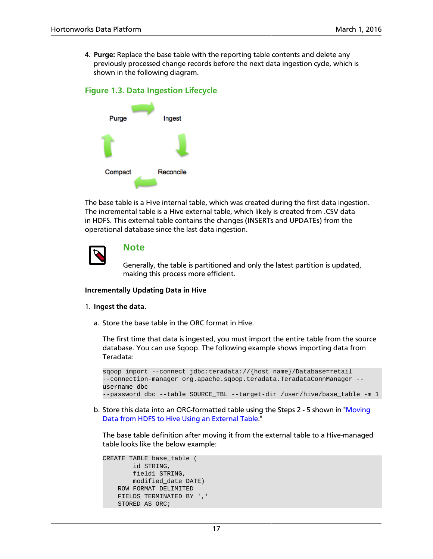4. **Purge:** Replace the base table with the reporting table contents and delete any previously processed change records before the next data ingestion cycle, which is shown in the following diagram.

#### <span id="page-22-0"></span>**Figure 1.3. Data Ingestion Lifecycle**



The base table is a Hive internal table, which was created during the first data ingestion. The incremental table is a Hive external table, which likely is created from .CSV data in HDFS. This external table contains the changes (INSERTs and UPDATEs) from the operational database since the last data ingestion.



### **Note**

Generally, the table is partitioned and only the latest partition is updated, making this process more efficient.

#### **Incrementally Updating Data in Hive**

#### 1. **Ingest the data.**

a. Store the base table in the ORC format in Hive.

The first time that data is ingested, you must import the entire table from the source database. You can use Sqoop. The following example shows importing data from Teradata:

```
sqoop import --connect jdbc:teradata://{host name}/Database=retail 
--connection-manager org.apache.sqoop.teradata.TeradataConnManager
username dbc 
--password dbc --table SOURCE_TBL --target-dir /user/hive/base_table -m 1
```
b. Store this data into an ORC-formatted table using the Steps 2 - 5 shown in ["Moving](#page-15-1) [Data from HDFS to Hive Using an External Table.](#page-15-1)"

The base table definition after moving it from the external table to a Hive-managed table looks like the below example:

```
CREATE TABLE base_table (
         id STRING,
         field1 STRING,
         modified_date DATE)
     ROW FORMAT DELIMITED
     FIELDS TERMINATED BY ','
     STORED AS ORC;
```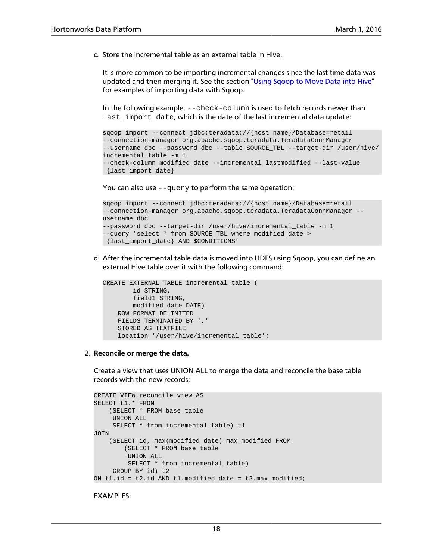c. Store the incremental table as an external table in Hive.

It is more common to be importing incremental changes since the last time data was updated and then merging it. See the section "[Using Sqoop to Move Data into Hive"](#page-18-0) for examples of importing data with Sqoop.

In the following example,  $--check-column$  is used to fetch records newer than last\_import\_date, which is the date of the last incremental data update:

```
sqoop import --connect jdbc:teradata://{host name}/Database=retail 
--connection-manager org.apache.sqoop.teradata.TeradataConnManager 
--username dbc --password dbc --table SOURCE_TBL --target-dir /user/hive/
incremental_table -m 1 
--check-column modified_date --incremental lastmodified --last-value
 {last_import_date}
```
You can also use  $-\alpha$  -  $\alpha$  to perform the same operation:

```
sqoop import --connect jdbc:teradata://{host name}/Database=retail 
--connection-manager org.apache.sqoop.teradata.TeradataConnManager --
username dbc 
--password dbc --target-dir /user/hive/incremental_table -m 1 
--query 'select * from SOURCE_TBL where modified_date >
 {last_import_date} AND $CONDITIONS'
```
d. After the incremental table data is moved into HDFS using Sqoop, you can define an external Hive table over it with the following command:

```
CREATE EXTERNAL TABLE incremental_table (
         id STRING,
         field1 STRING,
         modified_date DATE)
     ROW FORMAT DELIMITED
     FIELDS TERMINATED BY ','
     STORED AS TEXTFILE
     location '/user/hive/incremental_table';
```
2. **Reconcile or merge the data.**

Create a view that uses UNION ALL to merge the data and reconcile the base table records with the new records:

```
CREATE VIEW reconcile_view AS
SELECT t1.* FROM
    (SELECT * FROM base_table
     UNION ALL
     SELECT * from incremental_table) t1
JOIN
     (SELECT id, max(modified_date) max_modified FROM
         (SELECT * FROM base_table
         UNION ALL
         SELECT * from incremental_table)
     GROUP BY id) t2
ON t1.id = t2.id AND t1.modified date = t2.max modified;
```
EXAMPLES: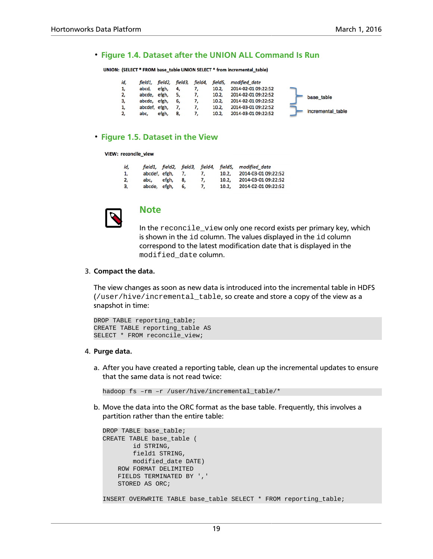#### <span id="page-24-0"></span>• **Figure 1.4. Dataset after the UNION ALL Command Is Run**

UNION: (SELECT \* FROM base\_table UNION SELECT \* from incremental\_table)

| id, | field1.       |       |    | field2, field3, field4, |       | field5, modified date |                   |
|-----|---------------|-------|----|-------------------------|-------|-----------------------|-------------------|
| 1,  | abcd,         | efgh, | 4. |                         | 10.2. | 2014-02-01 09:22:52   |                   |
| 2,  | abcde,        | efgh, |    |                         | 10.2, | 2014-02-01 09:22:52   | base table        |
| З,  | abcde, efgh,  |       | 6. |                         | 10.2. | 2014-02-01 09:22:52   |                   |
| 1,  | abcdef, efgh, |       |    |                         | 10.2, | 2014-03-01 09:22:52   |                   |
| 2,  | abc.          | efgh, | 8, |                         | 10.2, | 2014-03-01 09:22:52   | incremental table |

#### <span id="page-24-1"></span>• **Figure 1.5. Dataset in the View**

#### VIEW: reconcile view

| id, |               |       |    |    |       | field1, field2, field3, field4, field5, modified date |
|-----|---------------|-------|----|----|-------|-------------------------------------------------------|
| 1.  | abcdef, efgh, |       | 7. |    | 10.2. | 2014-03-01 09:22:52                                   |
| 2.  | abc.          | efgh. | 8. | 7. | 10.2. | 2014-03-01 09:22:52                                   |
| 3,  | abcde, efgh,  |       | 6. | 7, | 10.2. | 2014-02-01 09:22:52                                   |



### **Note**

In the reconcile\_view only one record exists per primary key, which is shown in the id column. The values displayed in the id column correspond to the latest modification date that is displayed in the modified\_date column.

#### 3. **Compact the data.**

The view changes as soon as new data is introduced into the incremental table in HDFS (/user/hive/incremental\_table, so create and store a copy of the view as a snapshot in time:

```
DROP TABLE reporting_table;
CREATE TABLE reporting table AS
SELECT * FROM reconcile_view;
```
#### 4. **Purge data.**

a. After you have created a reporting table, clean up the incremental updates to ensure that the same data is not read twice:

hadoop fs -rm -r /user/hive/incremental\_table/\*

b. Move the data into the ORC format as the base table. Frequently, this involves a partition rather than the entire table:

```
DROP TABLE base_table;
CREATE TABLE base_table (
         id STRING,
         field1 STRING,
         modified_date DATE)
    ROW FORMAT DELIMITED
     FIELDS TERMINATED BY ','
     STORED AS ORC;
INSERT OVERWRITE TABLE base_table SELECT * FROM reporting_table;
```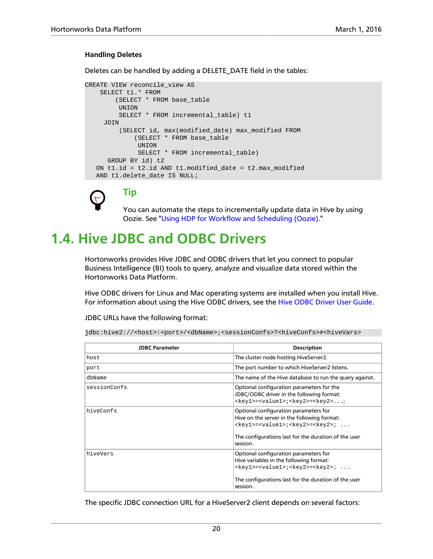#### **Handling Deletes**

Deletes can be handled by adding a DELETE\_DATE field in the tables:

```
CREATE VIEW reconcile_view AS
    SELECT t1.* FROM
         (SELECT * FROM base_table
          UNION
          SELECT * FROM incremental_table) t1
      JOIN
          (SELECT id, max(modified_date) max_modified FROM
              (SELECT * FROM base_table
               UNION
               SELECT * FROM incremental_table) 
       GROUP BY id) t2
  ON t1.id = t2.id AND t1.modified date = t2.max modified
   AND t1.delete_date IS NULL;
```


**Tip**

You can automate the steps to incrementally update data in Hive by using Oozie. See ["Using HDP for Workflow and Scheduling \(Oozie\)](#page-55-0)."

### <span id="page-25-0"></span>**1.4. Hive JDBC and ODBC Drivers**

Hortonworks provides Hive JDBC and ODBC drivers that let you connect to popular Business Intelligence (BI) tools to query, analyze and visualize data stored within the Hortonworks Data Platform.

Hive ODBC drivers for Linux and Mac operating systems are installed when you install Hive. For information about using the Hive ODBC drivers, see the [Hive ODBC Driver User Guide.](https://hortonworks.com/wp-content/uploads/2015/10/Hortonworks-Hive-ODBC-Driver-User-Guide.pdf)

JDBC URLs have the following format:

```
jdbc:hive2://<host>:<port>/<dbName>;<sessionConfs>?<hiveConfs>#<hiveVars>
```

| <b>JDBC Parameter</b> | <b>Description</b>                                                                                                                                                                                                          |
|-----------------------|-----------------------------------------------------------------------------------------------------------------------------------------------------------------------------------------------------------------------------|
| host.                 | The cluster node hosting HiveServer2.                                                                                                                                                                                       |
| port                  | The port number to which HiveServer2 listens.                                                                                                                                                                               |
| dbName                | The name of the Hive database to run the query against.                                                                                                                                                                     |
| sessionConfs          | Optional configuration parameters for the<br>JDBC/ODBC driver in the following format:<br><key1>=<value1>;<key2>=<key2>;</key2></key2></value1></key1>                                                                      |
| hiveConfs             | Optional configuration parameters for<br>Hive on the server in the following format:<br><key1>=<value1>;<key2>=<key2>; <br/>The configurations last for the duration of the user<br/>session.</key2></key2></value1></key1> |
| hiveVars              | Optional configuration parameters for<br>Hive variables in the following format:<br><key1>=<value1>;<key2>=<key2>; <br/>The configurations last for the duration of the user<br/>session.</key2></key2></value1></key1>     |

The specific JDBC connection URL for a HiveServer2 client depends on several factors: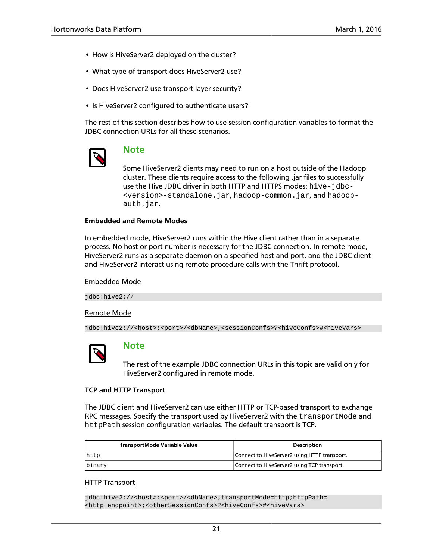- How is HiveServer2 deployed on the cluster?
- What type of transport does HiveServer2 use?
- Does HiveServer2 use transport-layer security?
- Is HiveServer2 configured to authenticate users?

The rest of this section describes how to use session configuration variables to format the JDBC connection URLs for all these scenarios.



### **Note**

Some HiveServer2 clients may need to run on a host outside of the Hadoop cluster. These clients require access to the following .jar files to successfully use the Hive JDBC driver in both HTTP and HTTPS modes: hive-jdbc- <version>-standalone.jar, hadoop-common.jar, and hadoopauth.jar.

#### **Embedded and Remote Modes**

In embedded mode, HiveServer2 runs within the Hive client rather than in a separate process. No host or port number is necessary for the JDBC connection. In remote mode, HiveServer2 runs as a separate daemon on a specified host and port, and the JDBC client and HiveServer2 interact using remote procedure calls with the Thrift protocol.

#### Embedded Mode

jdbc:hive2://

#### Remote Mode

jdbc:hive2://<host>:<port>/<dbName>;<sessionConfs>?<hiveConfs>#<hiveVars>



#### **Note**

The rest of the example JDBC connection URLs in this topic are valid only for HiveServer2 configured in remote mode.

#### **TCP and HTTP Transport**

The JDBC client and HiveServer2 can use either HTTP or TCP-based transport to exchange RPC messages. Specify the transport used by HiveServer2 with the transportMode and httpPath session configuration variables. The default transport is TCP.

| transportMode Variable Value | <b>Description</b>                           |
|------------------------------|----------------------------------------------|
| http                         | Connect to HiveServer2 using HTTP transport. |
| binary                       | Connect to HiveServer2 using TCP transport.  |

#### HTTP Transport

jdbc:hive2://<host>:<port>/<dbName>;transportMode=http;httpPath= <http\_endpoint>;<otherSessionConfs>?<hiveConfs>#<hiveVars>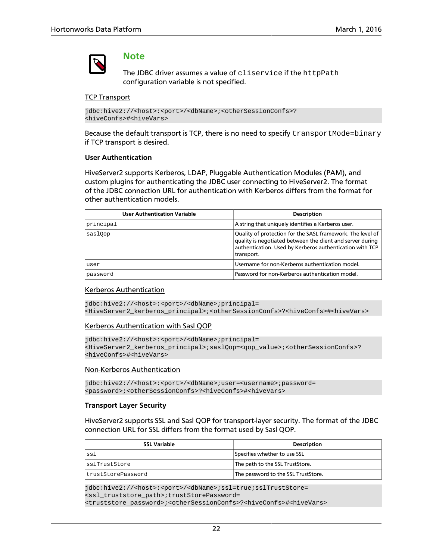

#### **Note**

The JDBC driver assumes a value of cliservice if the httpPath configuration variable is not specified.

#### TCP Transport

```
jdbc:hive2://<host>:<port>/<dbName>;<otherSessionConfs>?
<hiveConfs>#<hiveVars>
```
Because the default transport is TCP, there is no need to specify transportMode=binary if TCP transport is desired.

#### **User Authentication**

HiveServer2 supports Kerberos, LDAP, Pluggable Authentication Modules (PAM), and custom plugins for authenticating the JDBC user connecting to HiveServer2. The format of the JDBC connection URL for authentication with Kerberos differs from the format for other authentication models.

| <b>User Authentication Variable</b> | <b>Description</b>                                                                                                                                                                                 |
|-------------------------------------|----------------------------------------------------------------------------------------------------------------------------------------------------------------------------------------------------|
| principal                           | A string that uniquely identifies a Kerberos user.                                                                                                                                                 |
| saslOop                             | Quality of protection for the SASL framework. The level of<br>quality is negotiated between the client and server during<br>authentication. Used by Kerberos authentication with TCP<br>transport. |
| user                                | Username for non-Kerberos authentication model.                                                                                                                                                    |
| password                            | Password for non-Kerberos authentication model.                                                                                                                                                    |

#### Kerberos Authentication

jdbc:hive2://<host>:<port>/<dbName>;principal= <HiveServer2\_kerberos\_principal>;<otherSessionConfs>?<hiveConfs>#<hiveVars>

#### Kerberos Authentication with Sasl QOP

```
jdbc:hive2://<host>:<port>/<dbName>;principal=
<HiveServer2_kerberos_principal>;saslQop=<qop_value>;<otherSessionConfs>?
<hiveConfs>#<hiveVars>
```
#### Non-Kerberos Authentication

```
jdbc:hive2://<host>:<port>/<dbName>;user=<username>;password=
<password>;<otherSessionConfs>?<hiveConfs>#<hiveVars>
```
#### **Transport Layer Security**

HiveServer2 supports SSL and Sasl QOP for transport-layer security. The format of the JDBC connection URL for SSL differs from the format used by Sasl QOP.

| <b>SSL Variable</b> | <b>Description</b>                  |
|---------------------|-------------------------------------|
| ssl                 | Specifies whether to use SSL        |
| sslTrustStore       | The path to the SSL TrustStore.     |
| trustStorePassword  | The password to the SSL TrustStore. |

jdbc:hive2://<host>:<port>/<dbName>;ssl=true;sslTrustStore= <ssl\_truststore\_path>;trustStorePassword= <truststore\_password>;<otherSessionConfs>?<hiveConfs>#<hiveVars>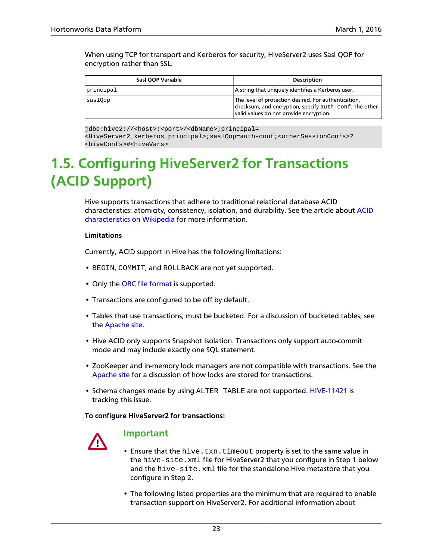When using TCP for transport and Kerberos for security, HiveServer2 uses Sasl QOP for encryption rather than SSL.

| Sasl QOP Variable | <b>Description</b>                                                                                                                                        |
|-------------------|-----------------------------------------------------------------------------------------------------------------------------------------------------------|
| principal         | A string that uniquely identifies a Kerberos user.                                                                                                        |
| saslOop           | The level of protection desired. For authentication,<br>checksum, and encryption, specify auth-conf. The other<br>valid values do not provide encryption. |

jdbc:hive2://<host>:<port>/<dbName>;principal=

<HiveServer2\_kerberos\_principal>;saslQop=auth-conf;<otherSessionConfs>? <hiveConfs>#<hiveVars>

## <span id="page-28-0"></span>**1.5. Configuring HiveServer2 for Transactions (ACID Support)**

Hive supports transactions that adhere to traditional relational database ACID characteristics: atomicity, consistency, isolation, and durability. See the article about [ACID](https://en.wikipedia.org/wiki/ACID) [characteristics on Wikipedia](https://en.wikipedia.org/wiki/ACID) for more information.

#### **Limitations**

Currently, ACID support in Hive has the following limitations:

- BEGIN, COMMIT, and ROLLBACK are not yet supported.
- Only the [ORC file format](#page-11-0) is supported.
- Transactions are configured to be off by default.
- Tables that use transactions, must be bucketed. For a discussion of bucketed tables, see the [Apache site](https://cwiki.apache.org/confluence/display/Hive/LanguageManual+DDL+BucketedTables).
- Hive ACID only supports Snapshot Isolation. Transactions only support auto-commit mode and may include exactly one SQL statement.
- ZooKeeper and in-memory lock managers are not compatible with transactions. See the [Apache site](https://cwiki.apache.org/confluence/display/Hive/Hive+Transactions#HiveTransactions-BasicDesign) for a discussion of how locks are stored for transactions.
- Schema changes made by using ALTER TABLE are not supported. [HIVE-11421](https://issues.apache.org/jira/browse/HIVE-11421) is tracking this issue.

**To configure HiveServer2 for transactions:**



### **Important**

- Ensure that the hive.txn.timeout property is set to the same value in the hive-site.xml file for HiveServer2 that you configure in Step 1 below and the hive-site.xml file for the standalone Hive metastore that you configure in Step 2.
- The following listed properties are the minimum that are required to enable transaction support on HiveServer2. For additional information about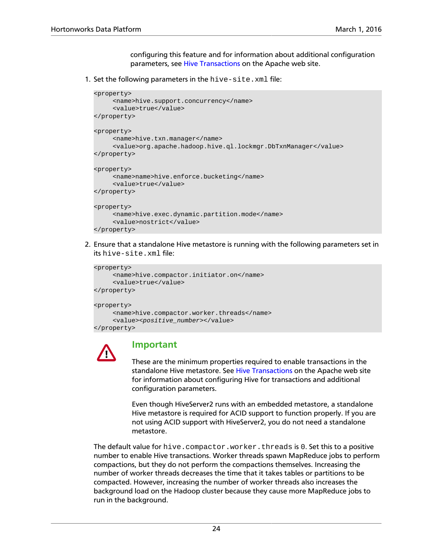configuring this feature and for information about additional configuration parameters, see [Hive Transactions](https://cwiki.apache.org/confluence/display/Hive/Hive+Transactions#HiveTransactions-Configuration) on the Apache web site.

1. Set the following parameters in the hive-site.xml file:

```
<property>
      <name>hive.support.concurrency</name>
     <value>true</value>
</property>
<property>
      <name>hive.txn.manager</name>
      <value>org.apache.hadoop.hive.ql.lockmgr.DbTxnManager</value>
</property>
<property>
      <name>name>hive.enforce.bucketing</name>
      <value>true</value>
</property>
<property>
      <name>hive.exec.dynamic.partition.mode</name>
      <value>nostrict</value>
</property>
```
2. Ensure that a standalone Hive metastore is running with the following parameters set in its hive-site.xml file:

```
<property>
      <name>hive.compactor.initiator.on</name>
      <value>true</value>
</property>
<property>
      <name>hive.compactor.worker.threads</name>
      <value><positive_number></value>
</property>
```


### **Important**

These are the minimum properties required to enable transactions in the standalone Hive metastore. See [Hive Transactions](https://cwiki.apache.org/confluence/display/Hive/Hive+Transactions#HiveTransactions-Configuration) on the Apache web site for information about configuring Hive for transactions and additional configuration parameters.

Even though HiveServer2 runs with an embedded metastore, a standalone Hive metastore is required for ACID support to function properly. If you are not using ACID support with HiveServer2, you do not need a standalone metastore.

The default value for hive.compactor.worker.threads is 0. Set this to a positive number to enable Hive transactions. Worker threads spawn MapReduce jobs to perform compactions, but they do not perform the compactions themselves. Increasing the number of worker threads decreases the time that it takes tables or partitions to be compacted. However, increasing the number of worker threads also increases the background load on the Hadoop cluster because they cause more MapReduce jobs to run in the background.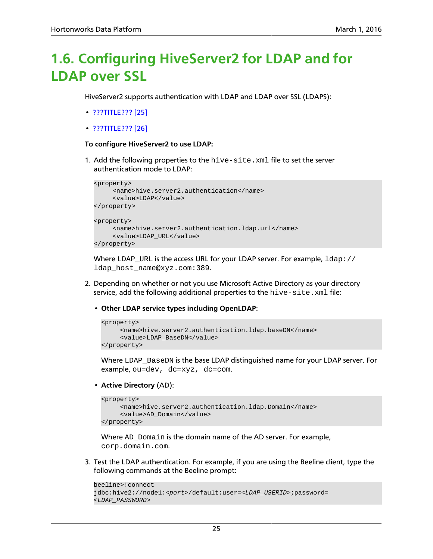## <span id="page-30-0"></span>**1.6. Configuring HiveServer2 for LDAP and for LDAP over SSL**

HiveServer2 supports authentication with LDAP and LDAP over SSL (LDAPS):

- [???TITLE??? \[25\]](#page-30-1)
- [???TITLE??? \[26\]](#page-31-0)

#### <span id="page-30-1"></span>**To configure HiveServer2 to use LDAP:**

1. Add the following properties to the hive-site.xml file to set the server authentication mode to LDAP:

```
<property>
      <name>hive.server2.authentication</name>
      <value>LDAP</value>
</property>
<property>
      <name>hive.server2.authentication.ldap.url</name>
      <value>LDAP_URL</value>
</property>
```
Where LDAP\_URL is the access URL for your LDAP server. For example,  $1$ dap:// ldap\_host\_name@xyz.com:389.

- 2. Depending on whether or not you use Microsoft Active Directory as your directory service, add the following additional properties to the  $\text{hive-site}$ .  $\text{xml}$  file:
	- **Other LDAP service types including OpenLDAP**:

```
<property>
      <name>hive.server2.authentication.ldap.baseDN</name>
      <value>LDAP_BaseDN</value>
</property>
```
Where LDAP\_BaseDN is the base LDAP distinguished name for your LDAP server. For example, ou=dev, dc=xyz, dc=com.

• **Active Directory** (AD):

```
<property>
      <name>hive.server2.authentication.ldap.Domain</name>
     <value>AD_Domain</value>
</property>
```
Where AD\_Domain is the domain name of the AD server. For example, corp.domain.com.

3. Test the LDAP authentication. For example, if you are using the Beeline client, type the following commands at the Beeline prompt:

```
beeline>!connect
jdbc:hive2://node1:<port>/default:user=<LDAP_USERID>;password=
<LDAP_PASSWORD>
```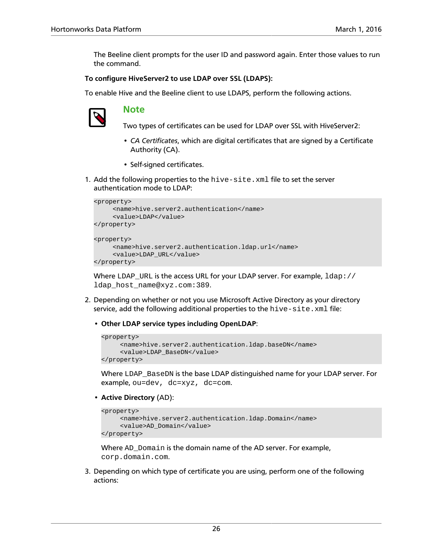The Beeline client prompts for the user ID and password again. Enter those values to run the command.

#### <span id="page-31-0"></span>**To configure HiveServer2 to use LDAP over SSL (LDAPS):**

To enable Hive and the Beeline client to use LDAPS, perform the following actions.



#### **Note**

Two types of certificates can be used for LDAP over SSL with HiveServer2:

- *CA Certificates*, which are digital certificates that are signed by a Certificate Authority (CA).
- Self-signed certificates.
- 1. Add the following properties to the hive-site.xml file to set the server authentication mode to LDAP:

```
<property>
      <name>hive.server2.authentication</name>
      <value>LDAP</value>
</property>
<property>
      <name>hive.server2.authentication.ldap.url</name>
      <value>LDAP_URL</value>
</property>
```
Where LDAP\_URL is the access URL for your LDAP server. For example,  $1$ dap:// ldap\_host\_name@xyz.com:389.

- 2. Depending on whether or not you use Microsoft Active Directory as your directory service, add the following additional properties to the  $\text{hire-site}$ .  $\text{xml}$  file:
	- **Other LDAP service types including OpenLDAP**:

```
<property>
      <name>hive.server2.authentication.ldap.baseDN</name>
      <value>LDAP_BaseDN</value>
</property>
```
Where LDAP BaseDN is the base LDAP distinguished name for your LDAP server. For example, ou=dev, dc=xyz, dc=com.

• **Active Directory** (AD):

```
<property>
      <name>hive.server2.authentication.ldap.Domain</name>
      <value>AD_Domain</value>
</property>
```
Where AD\_Domain is the domain name of the AD server. For example, corp.domain.com.

3. Depending on which type of certificate you are using, perform one of the following actions: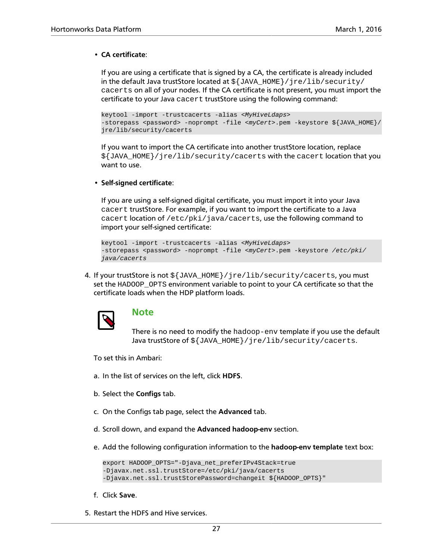#### • **CA certificate**:

If you are using a certificate that is signed by a CA, the certificate is already included in the default Java trustStore located at  $\S$ {JAVA\_HOME}/jre/lib/security/ cacerts on all of your nodes. If the CA certificate is not present, you must import the certificate to your Java cacert trustStore using the following command:

```
keytool -import -trustcacerts -alias <MyHiveLdaps> 
-storepass <password> -noprompt -file <myCert>.pem -keystore ${JAVA_HOME}/
jre/lib/security/cacerts
```
If you want to import the CA certificate into another trustStore location, replace  $\frac{1}{2}$ [JAVA\_HOME}/jre/lib/security/cacerts with the cacert location that you want to use.

• **Self-signed certificate**:

If you are using a self-signed digital certificate, you must import it into your Java cacert trustStore. For example, if you want to import the certificate to a Java cacert location of /etc/pki/java/cacerts, use the following command to import your self-signed certificate:

```
keytool -import -trustcacerts -alias <MyHiveLdaps> 
-storepass <password> -noprompt -file <myCert>.pem -keystore /etc/pki/
java/cacerts
```
4. If your trustStore is not \${JAVA\_HOME}/jre/lib/security/cacerts, you must set the HADOOP OPTS environment variable to point to your CA certificate so that the certificate loads when the HDP platform loads.



#### **Note**

There is no need to modify the hadoop-env template if you use the default Java trustStore of  $\S$ {JAVA\_HOME}/jre/lib/security/cacerts.

To set this in Ambari:

- a. In the list of services on the left, click **HDFS**.
- b. Select the **Configs** tab.
- c. On the Configs tab page, select the **Advanced** tab.
- d. Scroll down, and expand the **Advanced hadoop-env** section.
- e. Add the following configuration information to the **hadoop-env template** text box:

```
export HADOOP_OPTS="-Djava_net_preferIPv4Stack=true
-Djavax.net.ssl.trustStore=/etc/pki/java/cacerts 
-Djavax.net.ssl.trustStorePassword=changeit ${HADOOP_OPTS}"
```
- f. Click **Save**.
- 5. Restart the HDFS and Hive services.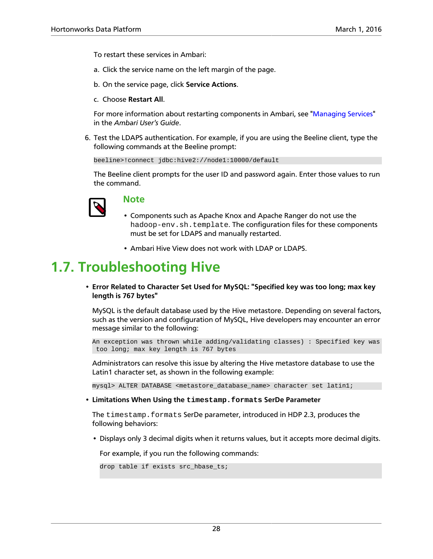To restart these services in Ambari:

- a. Click the service name on the left margin of the page.
- b. On the service page, click **Service Actions**.
- c. Choose **Restart All**.

For more information about restarting components in Ambari, see ["Managing Services](https://docs.hortonworks.com/HDPDocuments/Ambari-2.2.2.18/bk_ambari-user-guide/content/ch_managing_services.html)" in the *Ambari User's Guide*.

6. Test the LDAPS authentication. For example, if you are using the Beeline client, type the following commands at the Beeline prompt:

beeline>!connect jdbc:hive2://node1:10000/default

The Beeline client prompts for the user ID and password again. Enter those values to run the command.



### **Note**

- Components such as Apache Knox and Apache Ranger do not use the hadoop-env.sh.template. The configuration files for these components must be set for LDAPS and manually restarted.
- Ambari Hive View does not work with LDAP or LDAPS.

## <span id="page-33-0"></span>**1.7. Troubleshooting Hive**

• **Error Related to Character Set Used for MySQL: "Specified key was too long; max key length is 767 bytes"**

MySQL is the default database used by the Hive metastore. Depending on several factors, such as the version and configuration of MySQL, Hive developers may encounter an error message similar to the following:

```
An exception was thrown while adding/validating classes) : Specified key was
 too long; max key length is 767 bytes
```
Administrators can resolve this issue by altering the Hive metastore database to use the Latin1 character set, as shown in the following example:

mysql> ALTER DATABASE <metastore database name> character set latin1;

• **Limitations When Using the timestamp.formats SerDe Parameter**

The timestamp.formats SerDe parameter, introduced in HDP 2.3, produces the following behaviors:

• Displays only 3 decimal digits when it returns values, but it accepts more decimal digits.

For example, if you run the following commands:

```
drop table if exists src_hbase_ts;
```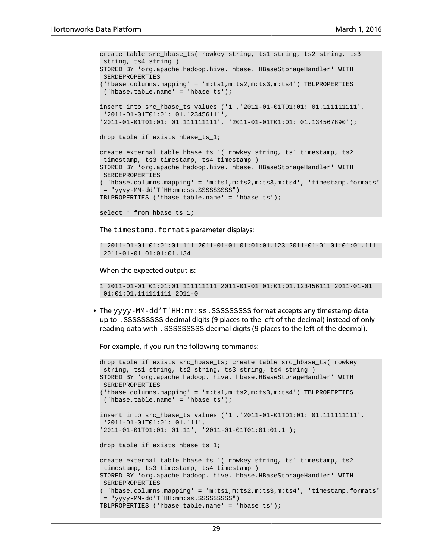```
create table src_hbase_ts( rowkey string, ts1 string, ts2 string, ts3
 string, ts4 string ) 
STORED BY 'org.apache.hadoop.hive. hbase. HBaseStorageHandler' WITH
 SERDEPROPERTIES 
('hbase.columns.mapping' = 'm:ts1,m:ts2,m:ts3,m:ts4') TBLPROPERTIES
  ('hbase.table.name' = 'hbase_ts');
insert into src_hbase_ts values ('1','2011-01-01T01:01: 01.111111111',
  '2011-01-01T01:01: 01.123456111', 
'2011-01-01T01:01: 01.111111111', '2011-01-01T01:01: 01.134567890');
drop table if exists hbase_ts_1;
create external table hbase_ts_1( rowkey string, ts1 timestamp, ts2
 timestamp, ts3 timestamp, ts4 timestamp ) 
STORED BY 'org.apache.hadoop.hive. hbase. HBaseStorageHandler' WITH
 SERDEPROPERTIES 
 ( 'hbase.columns.mapping' = 'm:ts1,m:ts2,m:ts3,m:ts4', 'timestamp.formats'
 = "yyyy-MM-dd'T'HH:mm:ss.SSSSSSSSS") 
TBLPROPERTIES ('hbase.table.name' = 'hbase_ts');
select * from hbase_ts_1;
```
The timestamp.formats parameter displays:

```
1 2011-01-01 01:01:01.111 2011-01-01 01:01:01.123 2011-01-01 01:01:01.111
 2011-01-01 01:01:01.134
```
When the expected output is:

```
1 2011-01-01 01:01:01.111111111 2011-01-01 01:01:01.123456111 2011-01-01
 01:01:01.111111111 2011-0
```
• The  $_{\rm YYYY}$ -MM-dd'T'HH:mm:ss.SSSSSSSSSS format accepts any timestamp data up to .SSSSSSSSS decimal digits (9 places to the left of the decimal) instead of only reading data with .SSSSSSSSS decimal digits (9 places to the left of the decimal).

For example, if you run the following commands:

```
drop table if exists src_hbase_ts; create table src_hbase_ts( rowkey
 string, ts1 string, ts2 string, ts3 string, ts4 string ) 
STORED BY 'org.apache.hadoop. hive. hbase.HBaseStorageHandler' WITH
 SERDEPROPERTIES 
('hbase.columns.mapping' = 'm:ts1,m:ts2,m:ts3,m:ts4') TBLPROPERTIES
 ('hbase.table.name' = 'hbase_ts');
insert into src_hbase_ts values ('1','2011-01-01T01:01: 01.111111111',
 '2011-01-01T01:01: 01.111', 
'2011-01-01T01:01: 01.11', '2011-01-01T01:01:01.1');
drop table if exists hbase_ts_1;
create external table hbase_ts_1( rowkey string, ts1 timestamp, ts2
 timestamp, ts3 timestamp, ts4 timestamp ) 
STORED BY 'org.apache.hadoop. hive. hbase.HBaseStorageHandler' WITH
 SERDEPROPERTIES 
 ( 'hbase.columns.mapping' = 'm:ts1,m:ts2,m:ts3,m:ts4', 'timestamp.formats'
 = "yyyy-MM-dd'T'HH:mm:ss.SSSSSSSSS") 
TBLPROPERTIES ('hbase.table.name' = 'hbase_ts');
```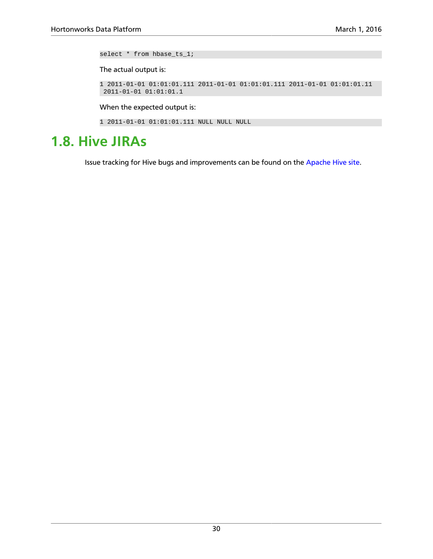select \* from hbase\_ts\_1;

The actual output is:

```
1 2011-01-01 01:01:01.111 2011-01-01 01:01:01.111 2011-01-01 01:01:01.11
 2011-01-01 01:01:01.1
```
When the expected output is:

```
1 2011-01-01 01:01:01.111 NULL NULL NULL
```
## <span id="page-35-0"></span>**1.8. Hive JIRAs**

Issue tracking for Hive bugs and improvements can be found on the [Apache Hive site.](https://issues.apache.org/jira/browse/HIVE)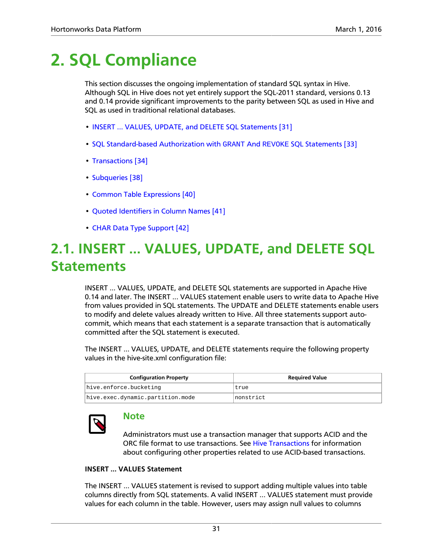## <span id="page-36-0"></span>**2. SQL Compliance**

This section discusses the ongoing implementation of standard SQL syntax in Hive. Although SQL in Hive does not yet entirely support the SQL-2011 standard, versions 0.13 and 0.14 provide significant improvements to the parity between SQL as used in Hive and SQL as used in traditional relational databases.

- [INSERT ... VALUES, UPDATE, and DELETE SQL Statements \[31\]](#page-36-1)
- [SQL Standard-based Authorization with](#page-38-0) GRANT And REVOKE SQL Statements [\[33\]](#page-38-0)
- [Transactions \[34\]](#page-39-0)
- [Subqueries \[38\]](#page-43-0)
- [Common Table Expressions \[40\]](#page-45-0)
- [Quoted Identifiers in Column Names \[41\]](#page-46-0)
- [CHAR Data Type Support \[42\]](#page-47-0)

## <span id="page-36-1"></span>**2.1. INSERT ... VALUES, UPDATE, and DELETE SQL Statements**

INSERT ... VALUES, UPDATE, and DELETE SQL statements are supported in Apache Hive 0.14 and later. The INSERT ... VALUES statement enable users to write data to Apache Hive from values provided in SQL statements. The UPDATE and DELETE statements enable users to modify and delete values already written to Hive. All three statements support autocommit, which means that each statement is a separate transaction that is automatically committed after the SQL statement is executed.

The INSERT ... VALUES, UPDATE, and DELETE statements require the following property values in the hive-site.xml configuration file:

| <b>Configuration Property</b>    | <b>Required Value</b> |
|----------------------------------|-----------------------|
| hive.enforce.bucketing           | true                  |
| hive.exec.dynamic.partition.mode | Inonstrict            |



### **Note**

Administrators must use a transaction manager that supports ACID and the ORC file format to use transactions. See [Hive Transactions](#page-39-0) for information about configuring other properties related to use ACID-based transactions.

#### **INSERT ... VALUES Statement**

The INSERT ... VALUES statement is revised to support adding multiple values into table columns directly from SQL statements. A valid INSERT ... VALUES statement must provide values for each column in the table. However, users may assign null values to columns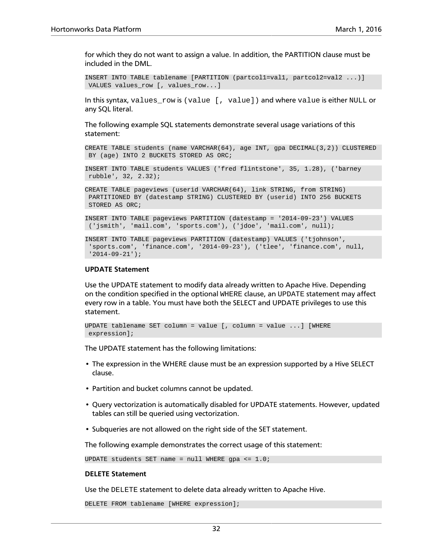for which they do not want to assign a value. In addition, the PARTITION clause must be included in the DML.

```
INSERT INTO TABLE tablename [PARTITION (partcol1=val1, partcol2=val2 ...)]
 VALUES values_row [, values_row...]
```
In this syntax, values\_row is (value [, value]) and where value is either NULL or any SQL literal.

The following example SQL statements demonstrate several usage variations of this statement:

CREATE TABLE students (name VARCHAR(64), age INT, gpa DECIMAL(3,2)) CLUSTERED BY (age) INTO 2 BUCKETS STORED AS ORC;

INSERT INTO TABLE students VALUES ('fred flintstone', 35, 1.28), ('barney rubble', 32, 2.32);

CREATE TABLE pageviews (userid VARCHAR(64), link STRING, from STRING) PARTITIONED BY (datestamp STRING) CLUSTERED BY (userid) INTO 256 BUCKETS STORED AS ORC;

INSERT INTO TABLE pageviews PARTITION (datestamp = '2014-09-23') VALUES ('jsmith', 'mail.com', 'sports.com'), ('jdoe', 'mail.com', null);

INSERT INTO TABLE pageviews PARTITION (datestamp) VALUES ('tjohnson', 'sports.com', 'finance.com', '2014-09-23'), ('tlee', 'finance.com', null, '2014-09-21');

#### **UPDATE Statement**

Use the UPDATE statement to modify data already written to Apache Hive. Depending on the condition specified in the optional WHERE clause, an UPDATE statement may affect every row in a table. You must have both the SELECT and UPDATE privileges to use this statement.

```
UPDATE tablename SET column = value [, column = value ...] [WHERE
 expression];
```
The UPDATE statement has the following limitations:

- The expression in the WHERE clause must be an expression supported by a Hive SELECT clause.
- Partition and bucket columns cannot be updated.
- Query vectorization is automatically disabled for UPDATE statements. However, updated tables can still be queried using vectorization.
- Subqueries are not allowed on the right side of the SET statement.

The following example demonstrates the correct usage of this statement:

UPDATE students SET name =  $null$  WHERE gpa <=  $1.0$ ;

#### **DELETE Statement**

Use the DELETE statement to delete data already written to Apache Hive.

DELETE FROM tablename [WHERE expression];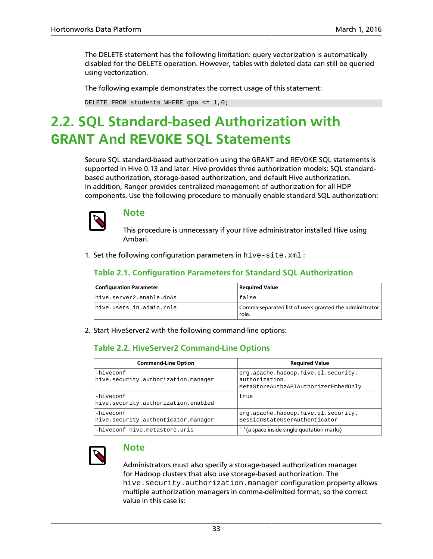The DELETE statement has the following limitation: query vectorization is automatically disabled for the DELETE operation. However, tables with deleted data can still be queried using vectorization.

The following example demonstrates the correct usage of this statement:

DELETE FROM students WHERE gpa  $\leq 1,0;$ 

## <span id="page-38-0"></span>**2.2. SQL Standard-based Authorization with GRANT And REVOKE SQL Statements**

Secure SQL standard-based authorization using the GRANT and REVOKE SQL statements is supported in Hive 0.13 and later. Hive provides three authorization models: SQL standardbased authorization, storage-based authorization, and default Hive authorization. In addition, Ranger provides centralized management of authorization for all HDP components. Use the following procedure to manually enable standard SQL authorization:



### **Note**

This procedure is unnecessary if your Hive administrator installed Hive using Ambari.

<span id="page-38-1"></span>1. Set the following configuration parameters in hive-site.xml :

#### **Table 2.1. Configuration Parameters for Standard SQL Authorization**

| <b>Configuration Parameter</b> | Required Value                                                   |
|--------------------------------|------------------------------------------------------------------|
| hive.server2.enable.doAs       | false                                                            |
| hive.users.in.admin.role       | Comma-separated list of users granted the administrator<br>role. |

<span id="page-38-2"></span>2. Start HiveServer2 with the following command-line options:

### **Table 2.2. HiveServer2 Command-Line Options**

| <b>Command-Line Option</b>                       | <b>Required Value</b>                                                                         |
|--------------------------------------------------|-----------------------------------------------------------------------------------------------|
| -hiveconf<br>hive.security.authorization.manager | org.apache.hadoop.hive.ql.security.<br>authorization.<br>MetaStoreAuthzAPIAuthorizerEmbedOnly |
| -hiveconf<br>hive.security.authorization.enabled | true                                                                                          |
| -hiveconf<br>hive.security.authenticator.manager | org.apache.hadoop.hive.gl.security.<br>SessionStateUserAuthenticator                          |
| -hiveconf hive.metastore.uris                    | (a space inside single quotation marks)                                                       |



### **Note**

Administrators must also specify a storage-based authorization manager for Hadoop clusters that also use storage-based authorization. The hive.security.authorization.manager configuration property allows multiple authorization managers in comma-delimited format, so the correct value in this case is: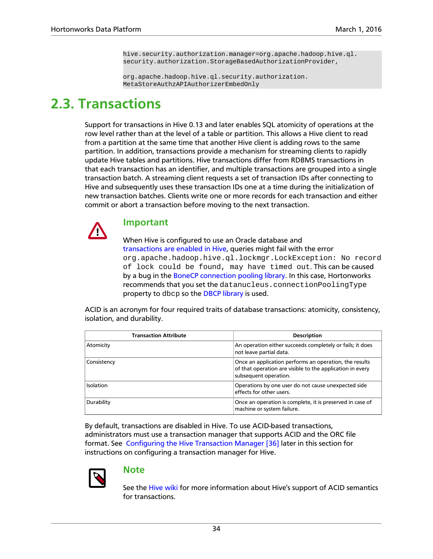hive.security.authorization.manager=org.apache.hadoop.hive.ql. security.authorization.StorageBasedAuthorizationProvider,

org.apache.hadoop.hive.ql.security.authorization. MetaStoreAuthzAPIAuthorizerEmbedOnly

### <span id="page-39-0"></span>**2.3. Transactions**

Support for transactions in Hive 0.13 and later enables SQL atomicity of operations at the row level rather than at the level of a table or partition. This allows a Hive client to read from a partition at the same time that another Hive client is adding rows to the same partition. In addition, transactions provide a mechanism for streaming clients to rapidly update Hive tables and partitions. Hive transactions differ from RDBMS transactions in that each transaction has an identifier, and multiple transactions are grouped into a single transaction batch. A streaming client requests a set of transaction IDs after connecting to Hive and subsequently uses these transaction IDs one at a time during the initialization of new transaction batches. Clients write one or more records for each transaction and either commit or abort a transaction before moving to the next transaction.



### **Important**

When Hive is configured to use an Oracle database and [transactions are enabled in Hive](https://cwiki.apache.org/confluence/display/Hive/Hive+Transactions#HiveTransactions-Configuration), queries might fail with the error org.apache.hadoop.hive.ql.lockmgr.LockException: No record of lock could be found, may have timed out. This can be caused by a bug in the [BoneCP connection pooling library](http://www.jolbox.com). In this case, Hortonworks recommends that you set the datanucleus.connectionPoolingType property to dbcp so the [DBCP library](http://commons.apache.org/proper/commons-dbcp/) is used.

ACID is an acronym for four required traits of database transactions: atomicity, consistency, isolation, and durability.

| <b>Transaction Attribute</b> | <b>Description</b>                                                                                                                           |
|------------------------------|----------------------------------------------------------------------------------------------------------------------------------------------|
| Atomicity                    | An operation either succeeds completely or fails; it does<br>not leave partial data.                                                         |
| Consistency                  | Once an application performs an operation, the results<br>of that operation are visible to the application in every<br>subsequent operation. |
| Isolation                    | Operations by one user do not cause unexpected side<br>effects for other users.                                                              |
| Durability                   | Once an operation is complete, it is preserved in case of<br>machine or system failure.                                                      |

By default, transactions are disabled in Hive. To use ACID-based transactions, administrators must use a transaction manager that supports ACID and the ORC file format. See [Configuring the Hive Transaction Manager \[36\]](#page-41-0) later in this section for instructions on configuring a transaction manager for Hive.



### **Note**

See the [Hive wiki](https://cwiki.apache.org/confluence/display/Hive/Hive+Transactions) for more information about Hive's support of ACID semantics for transactions.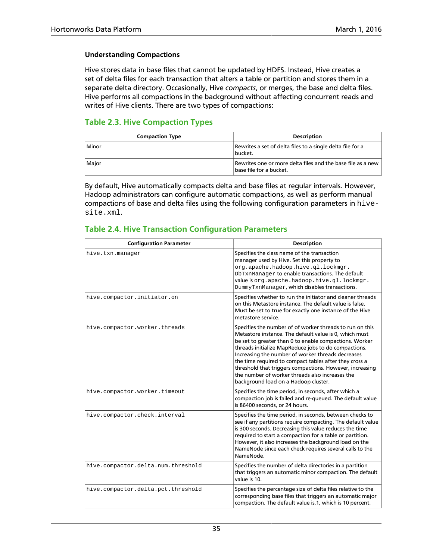#### **Understanding Compactions**

Hive stores data in base files that cannot be updated by HDFS. Instead, Hive creates a set of delta files for each transaction that alters a table or partition and stores them in a separate delta directory. Occasionally, Hive *compacts*, or merges, the base and delta files. Hive performs all compactions in the background without affecting concurrent reads and writes of Hive clients. There are two types of compactions:

#### <span id="page-40-0"></span>**Table 2.3. Hive Compaction Types**

| <b>Compaction Type</b> | <b>Description</b>                                                                     |
|------------------------|----------------------------------------------------------------------------------------|
| Minor                  | Rewrites a set of delta files to a single delta file for a<br>bucket.                  |
| Major                  | Rewrites one or more delta files and the base file as a new<br>base file for a bucket. |

By default, Hive automatically compacts delta and base files at regular intervals. However, Hadoop administrators can configure automatic compactions, as well as perform manual compactions of base and delta files using the following configuration parameters in hivesite.xml.

#### <span id="page-40-1"></span>**Table 2.4. Hive Transaction Configuration Parameters**

| <b>Configuration Parameter</b>     | <b>Description</b>                                                                                                                                                                                                                                                                                                                                                                                                                                                                                         |
|------------------------------------|------------------------------------------------------------------------------------------------------------------------------------------------------------------------------------------------------------------------------------------------------------------------------------------------------------------------------------------------------------------------------------------------------------------------------------------------------------------------------------------------------------|
| hive.txn.manaqer                   | Specifies the class name of the transaction<br>manager used by Hive. Set this property to<br>org.apache.hadoop.hive.ql.lockmgr.<br>DbTxnManager to enable transactions. The default<br>value is org.apache.hadoop.hive.ql.lockmgr.<br>DummyTxnManager, which disables transactions.                                                                                                                                                                                                                        |
| hive.compactor.initiator.on        | Specifies whether to run the initiator and cleaner threads<br>on this Metastore instance. The default value is false.<br>Must be set to true for exactly one instance of the Hive<br>metastore service.                                                                                                                                                                                                                                                                                                    |
| hive.compactor.worker.threads      | Specifies the number of of worker threads to run on this<br>Metastore instance. The default value is 0, which must<br>be set to greater than 0 to enable compactions. Worker<br>threads initialize MapReduce jobs to do compactions.<br>Increasing the number of worker threads decreases<br>the time required to compact tables after they cross a<br>threshold that triggers compactions. However, increasing<br>the number of worker threads also increases the<br>background load on a Hadoop cluster. |
| hive.compactor.worker.timeout      | Specifies the time period, in seconds, after which a<br>compaction job is failed and re-queued. The default value<br>is 86400 seconds, or 24 hours.                                                                                                                                                                                                                                                                                                                                                        |
| hive.compactor.check.interval      | Specifies the time period, in seconds, between checks to<br>see if any partitions require compacting. The default value<br>is 300 seconds. Decreasing this value reduces the time<br>required to start a compaction for a table or partition.<br>However, it also increases the background load on the<br>NameNode since each check requires several calls to the<br>NameNode.                                                                                                                             |
| hive.compactor.delta.num.threshold | Specifies the number of delta directories in a partition<br>that triggers an automatic minor compaction. The default<br>value is 10.                                                                                                                                                                                                                                                                                                                                                                       |
| hive.compactor.delta.pct.threshold | Specifies the percentage size of delta files relative to the<br>corresponding base files that triggers an automatic major<br>compaction. The default value is 1, which is 10 percent.                                                                                                                                                                                                                                                                                                                      |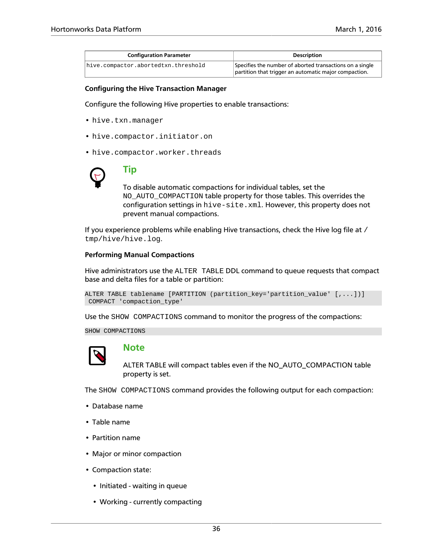| <b>Configuration Parameter</b>      | <b>Description</b>                                       |
|-------------------------------------|----------------------------------------------------------|
| hive.compactor.abortedtxn.threshold | Specifies the number of aborted transactions on a single |
|                                     | partition that trigger an automatic major compaction.    |

#### <span id="page-41-0"></span>**Configuring the Hive Transaction Manager**

Configure the following Hive properties to enable transactions:

- hive.txn.manager
- hive.compactor.initiator.on
- hive.compactor.worker.threads



### **Tip**

To disable automatic compactions for individual tables, set the NO\_AUTO\_COMPACTION table property for those tables. This overrides the configuration settings in hive-site.xml. However, this property does not prevent manual compactions.

If you experience problems while enabling Hive transactions, check the Hive log file at / tmp/hive/hive.log.

#### **Performing Manual Compactions**

Hive administrators use the ALTER TABLE DDL command to queue requests that compact base and delta files for a table or partition:

```
ALTER TABLE tablename [PARTITION (partition_key='partition_value' [,...])]
 COMPACT 'compaction_type'
```
Use the SHOW COMPACTIONS command to monitor the progress of the compactions:

SHOW COMPACTIONS



#### **Note**

ALTER TABLE will compact tables even if the NO\_AUTO\_COMPACTION table property is set.

The SHOW COMPACTIONS command provides the following output for each compaction:

- Database name
- Table name
- Partition name
- Major or minor compaction
- Compaction state:
	- Initiated waiting in queue
	- Working currently compacting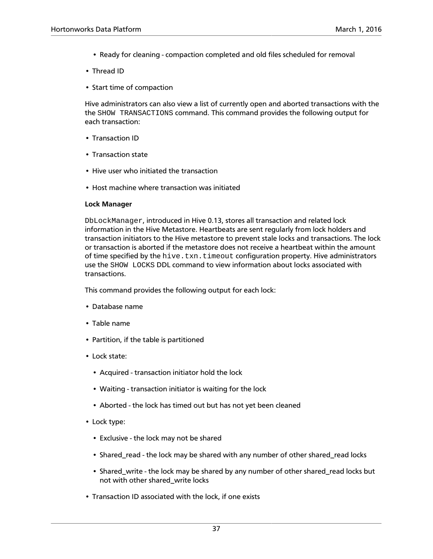- Ready for cleaning compaction completed and old files scheduled for removal
- Thread ID
- Start time of compaction

Hive administrators can also view a list of currently open and aborted transactions with the the SHOW TRANSACTIONS command. This command provides the following output for each transaction:

- Transaction ID
- Transaction state
- Hive user who initiated the transaction
- Host machine where transaction was initiated

#### **Lock Manager**

DbLockManager, introduced in Hive 0.13, stores all transaction and related lock information in the Hive Metastore. Heartbeats are sent regularly from lock holders and transaction initiators to the Hive metastore to prevent stale locks and transactions. The lock or transaction is aborted if the metastore does not receive a heartbeat within the amount of time specified by the hive.txn.timeout configuration property. Hive administrators use the SHOW LOCKS DDL command to view information about locks associated with transactions.

This command provides the following output for each lock:

- Database name
- Table name
- Partition, if the table is partitioned
- Lock state:
	- Acquired transaction initiator hold the lock
	- Waiting transaction initiator is waiting for the lock
	- Aborted the lock has timed out but has not yet been cleaned
- Lock type:
	- Exclusive the lock may not be shared
	- Shared\_read the lock may be shared with any number of other shared\_read locks
	- Shared\_write the lock may be shared by any number of other shared\_read locks but not with other shared\_write locks
- Transaction ID associated with the lock, if one exists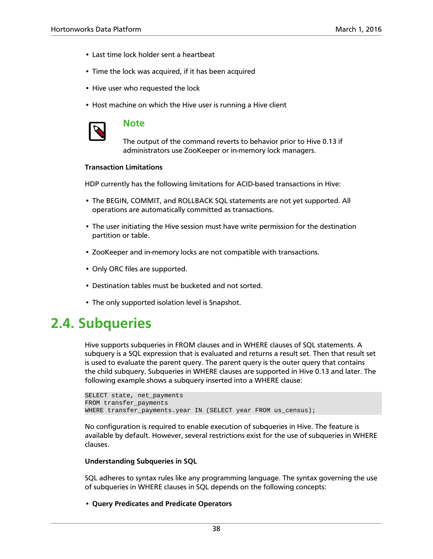- Last time lock holder sent a heartbeat
- Time the lock was acquired, if it has been acquired
- Hive user who requested the lock
- Host machine on which the Hive user is running a Hive client



#### **Note**

The output of the command reverts to behavior prior to Hive 0.13 if administrators use ZooKeeper or in-memory lock managers.

#### **Transaction Limitations**

HDP currently has the following limitations for ACID-based transactions in Hive:

- The BEGIN, COMMIT, and ROLLBACK SQL statements are not yet supported. All operations are automatically committed as transactions.
- The user initiating the Hive session must have write permission for the destination partition or table.
- ZooKeeper and in-memory locks are not compatible with transactions.
- Only ORC files are supported.
- Destination tables must be bucketed and not sorted.
- The only supported isolation level is Snapshot.

### <span id="page-43-0"></span>**2.4. Subqueries**

Hive supports subqueries in FROM clauses and in WHERE clauses of SQL statements. A subquery is a SQL expression that is evaluated and returns a result set. Then that result set is used to evaluate the parent query. The parent query is the outer query that contains the child subquery. Subqueries in WHERE clauses are supported in Hive 0.13 and later. The following example shows a subquery inserted into a WHERE clause:

```
SELECT state, net_payments
FROM transfer_payments
WHERE transfer_payments.year IN (SELECT year FROM us_census);
```
No configuration is required to enable execution of subqueries in Hive. The feature is available by default. However, several restrictions exist for the use of subqueries in WHERE clauses.

#### **Understanding Subqueries in SQL**

SQL adheres to syntax rules like any programming language. The syntax governing the use of subqueries in WHERE clauses in SQL depends on the following concepts:

• **Query Predicates and Predicate Operators**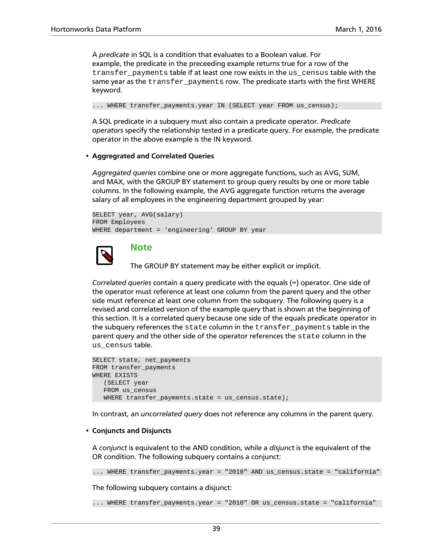A *predicate* in SQL is a condition that evaluates to a Boolean value. For example, the predicate in the preceeding example returns true for a row of the transfer\_payments table if at least one row exists in the us\_census table with the same year as the transfer\_payments row. The predicate starts with the first WHERE keyword.

... WHERE transfer\_payments.year IN (SELECT year FROM us\_census);

A SQL predicate in a subquery must also contain a predicate operator. *Predicate operators* specify the relationship tested in a predicate query. For example, the predicate operator in the above example is the IN keyword.

#### • **Aggregrated and Correlated Queries**

*Aggregated queries* combine one or more aggregate functions, such as AVG, SUM, and MAX, with the GROUP BY statement to group query results by one or more table columns. In the following example, the AVG aggregate function returns the average salary of all employees in the engineering department grouped by year:

```
SELECT year, AVG(salary)
FROM Employees
WHERE department = 'engineering' GROUP BY year
```


### **Note**

The GROUP BY statement may be either explicit or implicit.

*Correlated queries* contain a query predicate with the equals (=) operator. One side of the operator must reference at least one column from the parent query and the other side must reference at least one column from the subquery. The following query is a revised and correlated version of the example query that is shown at the beginning of this section. It is a correlated query because one side of the equals predicate operator in the subquery references the state column in the transfer\_payments table in the parent query and the other side of the operator references the state column in the us\_census table.

```
SELECT state, net_payments
FROM transfer_payments
WHERE EXISTS 
    (SELECT year 
   FROM us_census 
  WHERE transfer_payments.state = us_census.state);
```
In contrast, an *uncorrelated query* does not reference any columns in the parent query.

#### • **Conjuncts and Disjuncts**

A *conjunct* is equivalent to the AND condition, while a *disjunct* is the equivalent of the OR condition. The following subquery contains a conjunct:

... WHERE transfer\_payments.year = "2010" AND us\_census.state = "california"

The following subquery contains a disjunct:

... WHERE transfer\_payments.year = "2010" OR us\_census.state = "california"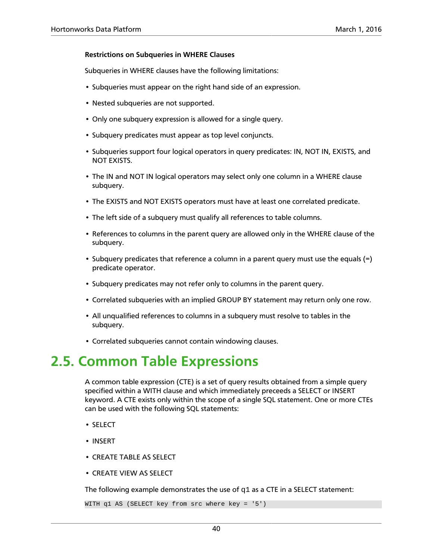#### **Restrictions on Subqueries in WHERE Clauses**

Subqueries in WHERE clauses have the following limitations:

- Subqueries must appear on the right hand side of an expression.
- Nested subqueries are not supported.
- Only one subquery expression is allowed for a single query.
- Subquery predicates must appear as top level conjuncts.
- Subqueries support four logical operators in query predicates: IN, NOT IN, EXISTS, and NOT EXISTS.
- The IN and NOT IN logical operators may select only one column in a WHERE clause subquery.
- The EXISTS and NOT EXISTS operators must have at least one correlated predicate.
- The left side of a subquery must qualify all references to table columns.
- References to columns in the parent query are allowed only in the WHERE clause of the subquery.
- Subquery predicates that reference a column in a parent query must use the equals (=) predicate operator.
- Subquery predicates may not refer only to columns in the parent query.
- Correlated subqueries with an implied GROUP BY statement may return only one row.
- All unqualified references to columns in a subquery must resolve to tables in the subquery.
- Correlated subqueries cannot contain windowing clauses.

### <span id="page-45-0"></span>**2.5. Common Table Expressions**

A common table expression (CTE) is a set of query results obtained from a simple query specified within a WITH clause and which immediately preceeds a SELECT or INSERT keyword. A CTE exists only within the scope of a single SQL statement. One or more CTEs can be used with the following SQL statements:

- SELECT
- INSERT
- CREATE TABLE AS SELECT
- CREATE VIEW AS SELECT

The following example demonstrates the use of  $q1$  as a CTE in a SELECT statement:

WITH q1 AS (SELECT key from src where key = '5')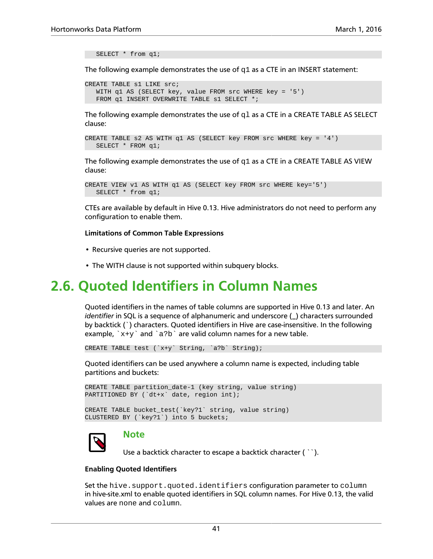SELECT \* from q1;

The following example demonstrates the use of  $q1$  as a CTE in an INSERT statement:

```
CREATE TABLE s1 LIKE src;
   WITH q1 AS (SELECT key, value FROM src WHERE key = '5') 
  FROM q1 INSERT OVERWRITE TABLE s1 SELECT *;
```
The following example demonstrates the use of  $q1$  as a CTE in a CREATE TABLE AS SELECT clause:

```
CREATE TABLE s2 AS WITH q1 AS (SELECT key FROM src WHERE key = '4') 
   SELECT * FROM q1;
```
The following example demonstrates the use of  $q1$  as a CTE in a CREATE TABLE AS VIEW clause:

```
CREATE VIEW v1 AS WITH q1 AS (SELECT key FROM src WHERE key='5') 
   SELECT * from q1;
```
CTEs are available by default in Hive 0.13. Hive administrators do not need to perform any configuration to enable them.

#### **Limitations of Common Table Expressions**

- Recursive queries are not supported.
- The WITH clause is not supported within subquery blocks.

### <span id="page-46-0"></span>**2.6. Quoted Identifiers in Column Names**

Quoted identifiers in the names of table columns are supported in Hive 0.13 and later. An *identifier* in SQL is a sequence of alphanumeric and underscore (\_) characters surrounded by backtick (`) characters. Quoted identifiers in Hive are case-insensitive. In the following example,  $x+y$  and  $a/b$  are valid column names for a new table.

```
CREATE TABLE test (`x+y` String, `a?b` String);
```
Quoted identifiers can be used anywhere a column name is expected, including table partitions and buckets:

```
CREATE TABLE partition_date-1 (key string, value string) 
PARTITIONED BY (`dt+x` date, region int);
CREATE TABLE bucket_test(`key?1` string, value string) 
CLUSTERED BY (`key?1`) into 5 buckets;
```


#### **Note**

Use a backtick character to escape a backtick character ( ``).

#### **Enabling Quoted Identifiers**

Set the hive.support.quoted.identifiers configuration parameter to column in hive-site.xml to enable quoted identifiers in SQL column names. For Hive 0.13, the valid values are none and column.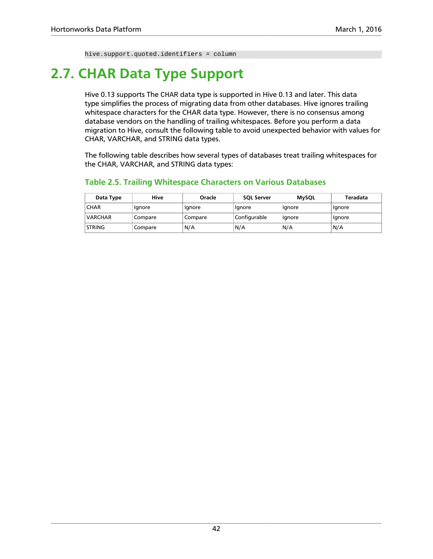hive.support.quoted.identifiers = column

## <span id="page-47-0"></span>**2.7. CHAR Data Type Support**

Hive 0.13 supports The CHAR data type is supported in Hive 0.13 and later. This data type simplifies the process of migrating data from other databases. Hive ignores trailing whitespace characters for the CHAR data type. However, there is no consensus among database vendors on the handling of trailing whitespaces. Before you perform a data migration to Hive, consult the following table to avoid unexpected behavior with values for CHAR, VARCHAR, and STRING data types.

The following table describes how several types of databases treat trailing whitespaces for the CHAR, VARCHAR, and STRING data types:

| Data Type      | Hive    | Oracle  | <b>SOL Server</b> | <b>MySQL</b> | Teradata |
|----------------|---------|---------|-------------------|--------------|----------|
| <b>CHAR</b>    | lgnore  | Ignore  | Ignore            | Ignore       | Ignore   |
| <b>VARCHAR</b> | Compare | Compare | Configurable      | Ignore       | lgnore   |
| <b>STRING</b>  | Compare | N/A     | N/A               | N/A          | N/A      |

#### <span id="page-47-1"></span>**Table 2.5. Trailing Whitespace Characters on Various Databases**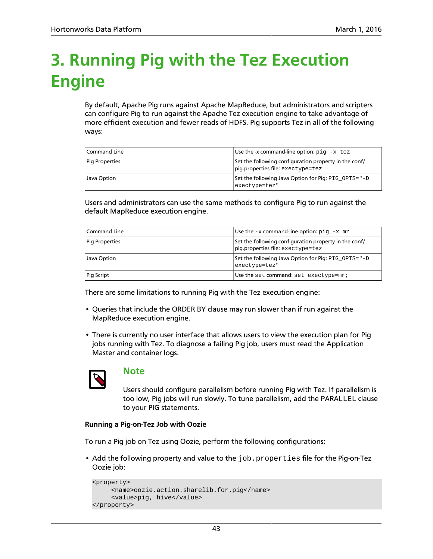## <span id="page-48-0"></span>**3. Running Pig with the Tez Execution Engine**

By default, Apache Pig runs against Apache MapReduce, but administrators and scripters can configure Pig to run against the Apache Tez execution engine to take advantage of more efficient execution and fewer reads of HDFS. Pig supports Tez in all of the following ways:

| <b>Command Line</b> | Use the -x command-line option: $pi - x$ tez                                               |
|---------------------|--------------------------------------------------------------------------------------------|
| Pig Properties      | Set the following configuration property in the conf/<br>pig.properties file: exectype=tez |
| Java Option         | Set the following Java Option for Pig: PIG OPTS="-D<br>exectype=tez"                       |

Users and administrators can use the same methods to configure Pig to run against the default MapReduce execution engine.

| <b>Command Line</b>   | Use the $-x$ command-line option: $pi - x$ mr                                              |
|-----------------------|--------------------------------------------------------------------------------------------|
| <b>Pig Properties</b> | Set the following configuration property in the conf/<br>pig.properties file: exectype=tez |
| Java Option           | Set the following Java Option for Pig: PIG OPTS="-D<br>exectype=tez"                       |
| Pig Script            | Use the set command: set exectype=mr;                                                      |

There are some limitations to running Pig with the Tez execution engine:

- Queries that include the ORDER BY clause may run slower than if run against the MapReduce execution engine.
- There is currently no user interface that allows users to view the execution plan for Pig jobs running with Tez. To diagnose a failing Pig job, users must read the Application Master and container logs.



#### **Note**

Users should configure parallelism before running Pig with Tez. If parallelism is too low, Pig jobs will run slowly. To tune parallelism, add the PARALLEL clause to your PIG statements.

#### **Running a Pig-on-Tez Job with Oozie**

To run a Pig job on Tez using Oozie, perform the following configurations:

• Add the following property and value to the job.properties file for the Pig-on-Tez Oozie job:

```
<property>
      <name>oozie.action.sharelib.for.pig</name>
      <value>pig, hive</value>
</property>
```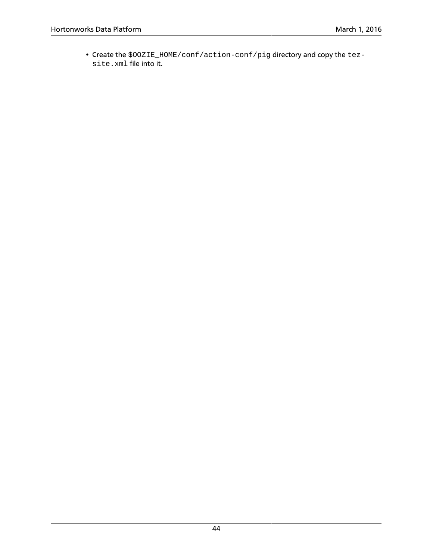• Create the \$OOZIE\_HOME/conf/action-conf/pig directory and copy the tezsite.xml file into it.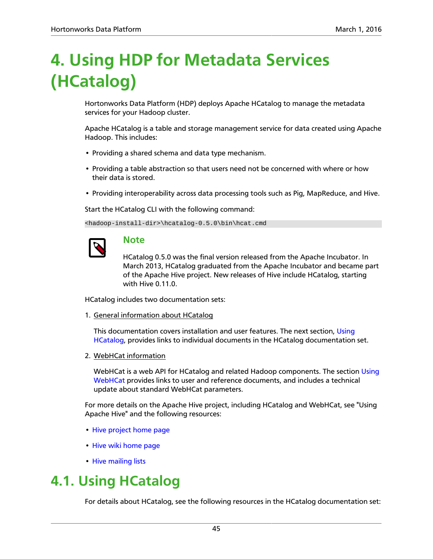## <span id="page-50-0"></span>**4. Using HDP for Metadata Services (HCatalog)**

Hortonworks Data Platform (HDP) deploys Apache HCatalog to manage the metadata services for your Hadoop cluster.

Apache HCatalog is a table and storage management service for data created using Apache Hadoop. This includes:

- Providing a shared schema and data type mechanism.
- Providing a table abstraction so that users need not be concerned with where or how their data is stored.
- Providing interoperability across data processing tools such as Pig, MapReduce, and Hive.

Start the HCatalog CLI with the following command:

<hadoop-install-dir>\hcatalog-0.5.0\bin\hcat.cmd

### **Note**

HCatalog 0.5.0 was the final version released from the Apache Incubator. In March 2013, HCatalog graduated from the Apache Incubator and became part of the Apache Hive project. New releases of Hive include HCatalog, starting with Hive 0.11.0.

HCatalog includes two documentation sets:

1. General information about HCatalog

This documentation covers installation and user features. The next section, [Using](#page-50-1) [HCatalog](#page-50-1), provides links to individual documents in the HCatalog documentation set.

2. WebHCat information

WebHCat is a web API for HCatalog and related Hadoop components. The section [Using](#page-51-0) [WebHCat](#page-51-0) provides links to user and reference documents, and includes a technical update about standard WebHCat parameters.

For more details on the Apache Hive project, including HCatalog and WebHCat, see "Using Apache Hive" and the following resources:

- [Hive project home page](http://hive.apache.org/)
- [Hive wiki home page](https://cwiki.apache.org/confluence/display/Hive/Home)
- [Hive mailing lists](http://hive.apache.org/mailing_lists.html)

### <span id="page-50-1"></span>**4.1. Using HCatalog**

For details about HCatalog, see the following resources in the HCatalog documentation set: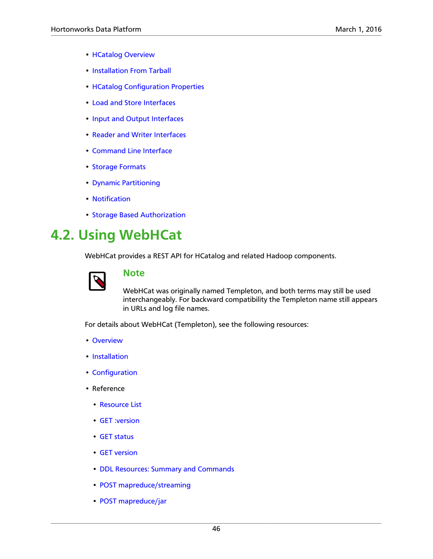- [HCatalog Overview](https://cwiki.apache.org/confluence/display/Hive/HCatalog%2BUsingHCat)
- [Installation From Tarball](https://cwiki.apache.org/confluence/display/Hive/HCatalog%2BInstallHCat)
- [HCatalog Configuration Properties](https://cwiki.apache.org/confluence/display/Hive/HCatalog+Configuration+Properties)
- [Load and Store Interfaces](https://cwiki.apache.org/confluence/display/Hive/HCatalog%2BLoadStore)
- [Input and Output Interfaces](https://cwiki.apache.org/confluence/display/Hive/HCatalog%2BInputOutput)
- [Reader and Writer Interfaces](https://cwiki.apache.org/confluence/display/Hive/HCatalog%2BReaderWriter)
- [Command Line Interface](https://cwiki.apache.org/confluence/display/Hive/HCatalog%2BCLI)
- [Storage Formats](https://cwiki.apache.org/confluence/display/Hive/HCatalog%2BStorageFormats)
- [Dynamic Partitioning](https://cwiki.apache.org/confluence/display/Hive/HCatalog%2BDynamicPartitions)
- [Notification](https://cwiki.apache.org/confluence/display/Hive/HCatalog%2BNotification)
- [Storage Based Authorization](https://cwiki.apache.org/confluence/display/Hive/HCatalog%2BAuthorization)

## <span id="page-51-0"></span>**4.2. Using WebHCat**

WebHCat provides a REST API for HCatalog and related Hadoop components.



### **Note**

WebHCat was originally named Templeton, and both terms may still be used interchangeably. For backward compatibility the Templeton name still appears in URLs and log file names.

For details about WebHCat (Templeton), see the following resources:

- [Overview](https://cwiki.apache.org/confluence/display/Hive/WebHCat%2BUsingWebHCat)
- [Installation](https://cwiki.apache.org/confluence/display/Hive/WebHCat%2BInstallWebHCat)
- [Configuration](https://cwiki.apache.org/confluence/display/Hive/WebHCat%2BConfigure)
- Reference
	- [Resource List](https://cwiki.apache.org/confluence/display/Hive/WebHCat%2BReference)
	- [GET :version](https://cwiki.apache.org/confluence/display/Hive/WebHCat%2BReference%2BResponseTypes)
	- [GET status](https://cwiki.apache.org/confluence/display/Hive/WebHCat%2BReference%2BStatus)
	- [GET version](https://cwiki.apache.org/confluence/display/Hive/WebHCat%2BReference%2BVersion)
	- [DDL Resources: Summary and Commands](https://cwiki.apache.org/confluence/display/Hive/WebHCat%2BReference%2BAllDDL)
	- [POST mapreduce/streaming](https://cwiki.apache.org/confluence/display/Hive/WebHCat%2BReference%2BMapReduceStream)
	- [POST mapreduce/jar](https://cwiki.apache.org/confluence/display/Hive/WebHCat%2BReference%2BMapReduceJar)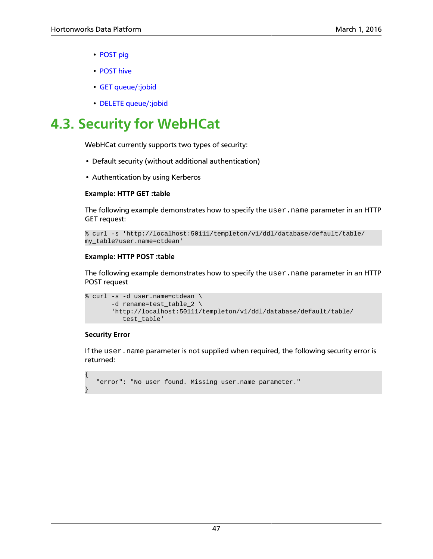- [POST pig](https://cwiki.apache.org/confluence/display/Hive/WebHCat%2BReference%2BPig)
- [POST hive](https://cwiki.apache.org/confluence/display/Hive/WebHCat%2BReference%2BHive)
- [GET queue/:jobid](https://cwiki.apache.org/confluence/display/Hive/WebHCat%2BReference%2BJobInfo)
- [DELETE queue/:jobid](https://cwiki.apache.org/confluence/display/Hive/WebHCat+Reference+DeleteJob)

## <span id="page-52-0"></span>**4.3. Security for WebHCat**

WebHCat currently supports two types of security:

- Default security (without additional authentication)
- Authentication by using Kerberos

#### **Example: HTTP GET :table**

The following example demonstrates how to specify the user. name parameter in an HTTP GET request:

```
% curl -s 'http://localhost:50111/templeton/v1/ddl/database/default/table/
my_table?user.name=ctdean'
```
#### **Example: HTTP POST :table**

The following example demonstrates how to specify the user.name parameter in an HTTP POST request

```
% curl -s -d user.name=ctdean \
        -d rename=test_table_2 \ 
        'http://localhost:50111/templeton/v1/ddl/database/default/table/
           test_table'
```
#### **Security Error**

{

}

If the user.name parameter is not supplied when required, the following security error is returned:

```
 "error": "No user found. Missing user.name parameter."
```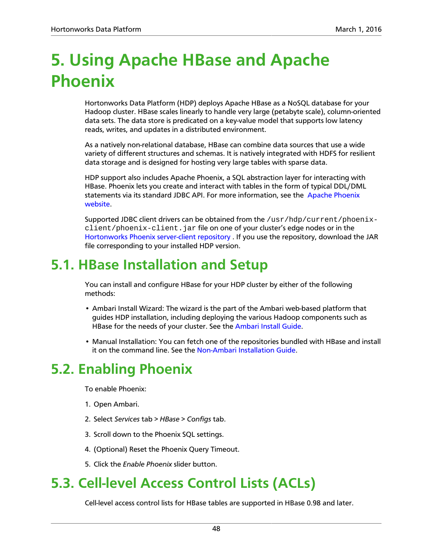## <span id="page-53-0"></span>**5. Using Apache HBase and Apache Phoenix**

Hortonworks Data Platform (HDP) deploys Apache HBase as a NoSQL database for your Hadoop cluster. HBase scales linearly to handle very large (petabyte scale), column-oriented data sets. The data store is predicated on a key-value model that supports low latency reads, writes, and updates in a distributed environment.

As a natively non-relational database, HBase can combine data sources that use a wide variety of different structures and schemas. It is natively integrated with HDFS for resilient data storage and is designed for hosting very large tables with sparse data.

HDP support also includes Apache Phoenix, a SQL abstraction layer for interacting with HBase. Phoenix lets you create and interact with tables in the form of typical DDL/DML statements via its standard JDBC API. For more information, see the [Apache Phoenix](http://phoenix.apache.org) [website.](http://phoenix.apache.org)

Supported JDBC client drivers can be obtained from the  $/\text{usr/hdp}/\text{current}/\text{phoenix-}$ client/phoenix-client.jar file on one of your cluster's edge nodes or in the [Hortonworks Phoenix server-client repository .](http://repo.hortonworks.com/content/repositories/releases/org/apache/phoenix/phoenix-server-client/) If you use the repository, download the JAR file corresponding to your installed HDP version.

## <span id="page-53-1"></span>**5.1. HBase Installation and Setup**

You can install and configure HBase for your HDP cluster by either of the following methods:

- Ambari Install Wizard: The wizard is the part of the Ambari web-based platform that guides HDP installation, including deploying the various Hadoop components such as HBase for the needs of your cluster. See the [Ambari Install Guide](https://docs.hortonworks.com/HDPDocuments/Ambari-2.2.2.18/bk_ambari-installation/content/ch_Getting_Ready.html).
- Manual Installation: You can fetch one of the repositories bundled with HBase and install it on the command line. See the [Non-Ambari Installation Guide](https://docs.hortonworks.com/HDPDocuments/HDP2/HDP-2.4.0/bk_installing_manually_book/content/ch_getting_ready_chapter.html).

## <span id="page-53-2"></span>**5.2. Enabling Phoenix**

To enable Phoenix:

- 1. Open Ambari.
- 2. Select *Services* tab > *HBase* > *Configs* tab.
- 3. Scroll down to the Phoenix SQL settings.
- 4. (Optional) Reset the Phoenix Query Timeout.
- 5. Click the *Enable Phoenix* slider button.

## <span id="page-53-3"></span>**5.3. Cell-level Access Control Lists (ACLs)**

Cell-level access control lists for HBase tables are supported in HBase 0.98 and later.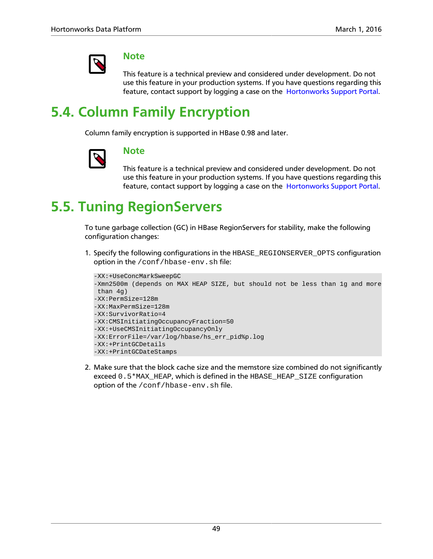

### **Note**

This feature is a technical preview and considered under development. Do not use this feature in your production systems. If you have questions regarding this feature, contact support by logging a case on the [Hortonworks Support Portal.](https://support.hortonworks.com)

## <span id="page-54-0"></span>**5.4. Column Family Encryption**

Column family encryption is supported in HBase 0.98 and later.



### **Note**

This feature is a technical preview and considered under development. Do not use this feature in your production systems. If you have questions regarding this feature, contact support by logging a case on the [Hortonworks Support Portal.](https://support.hortonworks.com)

## <span id="page-54-1"></span>**5.5. Tuning RegionServers**

To tune garbage collection (GC) in HBase RegionServers for stability, make the following configuration changes:

1. Specify the following configurations in the HBASE\_REGIONSERVER\_OPTS configuration option in the /conf/hbase-env.sh file:

```
-XX:+UseConcMarkSweepGC
-Xmn2500m (depends on MAX HEAP SIZE, but should not be less than 1g and more
 than 4g)
-XX:PermSize=128m 
-XX:MaxPermSize=128m 
-XX:SurvivorRatio=4 
-XX:CMSInitiatingOccupancyFraction=50 
-XX:+UseCMSInitiatingOccupancyOnly 
-XX:ErrorFile=/var/log/hbase/hs_err_pid%p.log 
-XX:+PrintGCDetails
-XX:+PrintGCDateStamps
```
2. Make sure that the block cache size and the memstore size combined do not significantly exceed 0.5\*MAX\_HEAP, which is defined in the HBASE\_HEAP\_SIZE configuration option of the /conf/hbase-env.sh file.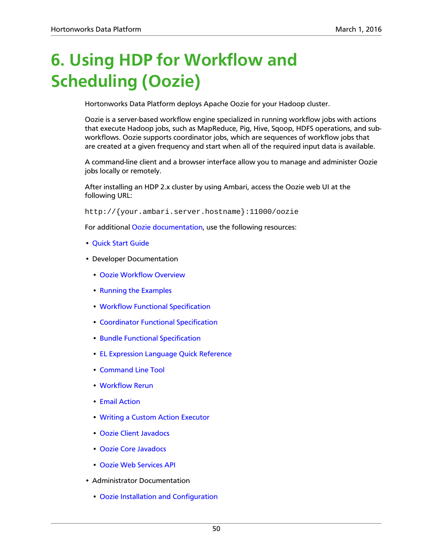## <span id="page-55-0"></span>**6. Using HDP for Workflow and Scheduling (Oozie)**

Hortonworks Data Platform deploys Apache Oozie for your Hadoop cluster.

Oozie is a server-based workflow engine specialized in running workflow jobs with actions that execute Hadoop jobs, such as MapReduce, Pig, Hive, Sqoop, HDFS operations, and subworkflows. Oozie supports coordinator jobs, which are sequences of workflow jobs that are created at a given frequency and start when all of the required input data is available.

A command-line client and a browser interface allow you to manage and administer Oozie jobs locally or remotely.

After installing an HDP 2.x cluster by using Ambari, access the Oozie web UI at the following URL:

http://{your.ambari.server.hostname}:11000/oozie

For additional [Oozie documentation,](http://oozie.apache.org/docs/4.2.0/) use the following resources:

- [Quick Start Guide](http://oozie.apache.org/docs/4.2.0/DG_QuickStart.html)
- Developer Documentation
	- [Oozie Workflow Overview](http://oozie.apache.org/docs/4.2.0/DG_Overview.html)
	- [Running the Examples](http://oozie.apache.org/docs/4.2.0/DG_Examples.html)
	- [Workflow Functional Specification](http://oozie.apache.org/docs/4.2.0/WorkflowFunctionalSpec.html)
	- [Coordinator Functional Specification](http://oozie.apache.org/docs/4.2.0/CoordinatorFunctionalSpec.html)
	- [Bundle Functional Specification](http://oozie.apache.org/docs/4.2.0/BundleFunctionalSpec.html)
	- [EL Expression Language Quick Reference](http://docs.oracle.com/javaee/1.4/tutorial/doc/)
	- [Command Line Tool](http://oozie.apache.org/docs/4.2.0/DG_CommandLineTool.html)
	- [Workflow Rerun](http://oozie.apache.org/docs/4.2.0/DG_WorkflowReRun.html)
	- [Email Action](http://oozie.apache.org/docs/4.2.0/DG_EmailActionExtension.html)
	- [Writing a Custom Action Executor](http://oozie.apache.org/docs/4.2.0/DG_CustomActionExecutor.html)
	- [Oozie Client Javadocs](http://oozie.apache.org/docs/4.2.0/client/apidocs/index.html)
	- [Oozie Core Javadocs](http://oozie.apache.org/docs/4.2.0/core/apidocs/index.html)
	- [Oozie Web Services API](http://oozie.apache.org/docs/4.2.0/WebServicesAPI.html)
- Administrator Documentation
	- [Oozie Installation and Configuration](http://oozie.apache.org/docs/4.2.0/AG_Install.html)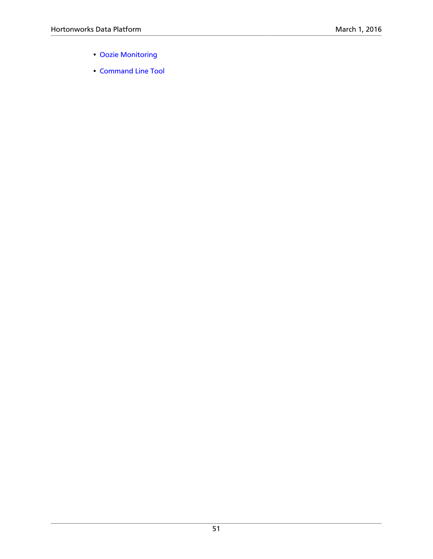- [Oozie Monitoring](http://oozie.apache.org/docs/4.2.0/AG_Monitoring.html)
- [Command Line Tool](http://oozie.apache.org/docs/4.2.0/DG_CommandLineTool.html)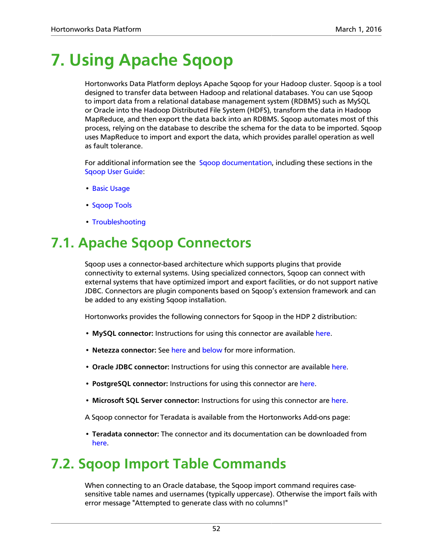## <span id="page-57-0"></span>**7. Using Apache Sqoop**

Hortonworks Data Platform deploys Apache Sqoop for your Hadoop cluster. Sqoop is a tool designed to transfer data between Hadoop and relational databases. You can use Sqoop to import data from a relational database management system (RDBMS) such as MySQL or Oracle into the Hadoop Distributed File System (HDFS), transform the data in Hadoop MapReduce, and then export the data back into an RDBMS. Sqoop automates most of this process, relying on the database to describe the schema for the data to be imported. Sqoop uses MapReduce to import and export the data, which provides parallel operation as well as fault tolerance.

For additional information see the [Sqoop documentation,](http://sqoop.apache.org/docs/1.4.6/index.html) including these sections in the [Sqoop User Guide](http://sqoop.apache.org/docs/1.4.6/SqoopUserGuide.html):

- [Basic Usage](http://sqoop.apache.org/docs/1.4.6/SqoopUserGuide.html#_basic_usage)
- [Sqoop Tools](http://sqoop.apache.org/docs/1.4.6/SqoopUserGuide.html#_sqoop_tools)
- [Troubleshooting](http://sqoop.apache.org/docs/1.4.6/SqoopUserGuide.html#_troubleshooting)

## <span id="page-57-1"></span>**7.1. Apache Sqoop Connectors**

Sqoop uses a connector-based architecture which supports plugins that provide connectivity to external systems. Using specialized connectors, Sqoop can connect with external systems that have optimized import and export facilities, or do not support native JDBC. Connectors are plugin components based on Sqoop's extension framework and can be added to any existing Sqoop installation.

Hortonworks provides the following connectors for Sqoop in the HDP 2 distribution:

- **MySQL connector:** Instructions for using this connector are available [here](http://sqoop.apache.org/docs/1.4.6/SqoopUserGuide.html#_mysql_jdbc_connector).
- **Netezza connector:** See [here](http://sqoop.apache.org/docs/1.4.6/SqoopUserGuide.html#_netezza_connector) and [below](#page-58-0) for more information.
- **Oracle JDBC connector:** Instructions for using this connector are available [here](http://sqoop.apache.org/docs/1.4.6/SqoopUserGuide.html#_data_connector_for_oracle_and_hadoop).
- **PostgreSQL connector:** Instructions for using this connector are [here](http://sqoop.apache.org/docs/1.4.6/SqoopUserGuide.html#_postgresql_connector).
- **Microsoft SQL Server connector:** Instructions for using this connector are [here.](http://sqoop.apache.org/docs/1.4.6/SqoopUserGuide.html#_microsoft_sql_connector)
- A Sqoop connector for Teradata is available from the Hortonworks Add-ons page:
- **Teradata connector:** The connector and its documentation can be downloaded from [here](https://hortonworks.com/products/releases/hdp-2-3/#add_ons).

## <span id="page-57-2"></span>**7.2. Sqoop Import Table Commands**

When connecting to an Oracle database, the Sqoop import command requires casesensitive table names and usernames (typically uppercase). Otherwise the import fails with error message "Attempted to generate class with no columns!"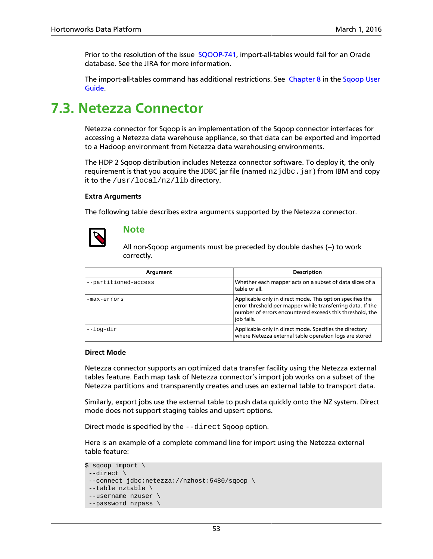Prior to the resolution of the issue [SQOOP-741](https://issues.apache.org/jira/browse/SQOOP-741), import-all-tables would fail for an Oracle database. See the JIRA for more information.

The import-all-tables command has additional restrictions. See [Chapter 8](http://sqoop.apache.org/docs/1.4.6/SqoopUserGuide.html#_literal_sqoop_import_all_tables_literal) in the [Sqoop User](http://sqoop.apache.org/docs/1.4.6/SqoopUserGuide.html) [Guide](http://sqoop.apache.org/docs/1.4.6/SqoopUserGuide.html).

### <span id="page-58-0"></span>**7.3. Netezza Connector**

Netezza connector for Sqoop is an implementation of the Sqoop connector interfaces for accessing a Netezza data warehouse appliance, so that data can be exported and imported to a Hadoop environment from Netezza data warehousing environments.

The HDP 2 Sqoop distribution includes Netezza connector software. To deploy it, the only requirement is that you acquire the JDBC jar file (named  $nz$  jdbc. jar) from IBM and copy it to the /usr/local/nz/lib directory.

#### **Extra Arguments**

The following table describes extra arguments supported by the Netezza connector.



#### **Note**

All non-Sqoop arguments must be preceded by double dashes  $(-)$  to work correctly.

| Argument             | <b>Description</b>                                                                                                                                                                                |
|----------------------|---------------------------------------------------------------------------------------------------------------------------------------------------------------------------------------------------|
| --partitioned-access | Whether each mapper acts on a subset of data slices of a<br>table or all.                                                                                                                         |
| -max-errors          | Applicable only in direct mode. This option specifies the<br>error threshold per mapper while transferring data. If the<br>number of errors encountered exceeds this threshold, the<br>job fails. |
| --log-dir            | Applicable only in direct mode. Specifies the directory<br>where Netezza external table operation logs are stored                                                                                 |

#### **Direct Mode**

Netezza connector supports an optimized data transfer facility using the Netezza external tables feature. Each map task of Netezza connector's import job works on a subset of the Netezza partitions and transparently creates and uses an external table to transport data.

Similarly, export jobs use the external table to push data quickly onto the NZ system. Direct mode does not support staging tables and upsert options.

Direct mode is specified by the --direct Sqoop option.

Here is an example of a complete command line for import using the Netezza external table feature:

```
$ sqoop import \
 --direct \
  --connect jdbc:netezza://nzhost:5480/sqoop \
  --table nztable \
  --username nzuser \
 --password nzpass \
```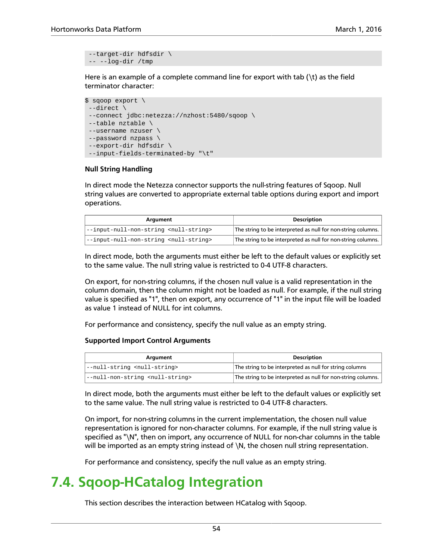```
 --target-dir hdfsdir \
 -- --log-dir /tmp
```
Here is an example of a complete command line for export with tab  $(\n)$  as the field terminator character:

```
$ sqoop export \
 --direct \
 --connect jdbc:netezza://nzhost:5480/sqoop \
 --table nztable \
 --username nzuser \
 --password nzpass \
  --export-dir hdfsdir \
 --input-fields-terminated-by "\t"
```
#### **Null String Handling**

In direct mode the Netezza connector supports the null-string features of Sqoop. Null string values are converted to appropriate external table options during export and import operations.

| Araument                                            | <b>Description</b>                                           |
|-----------------------------------------------------|--------------------------------------------------------------|
| --input-null-non-string <null-string></null-string> | The string to be interpreted as null for non-string columns. |
| --input-null-non-string <null-string></null-string> | The string to be interpreted as null for non-string columns. |

In direct mode, both the arguments must either be left to the default values or explicitly set to the same value. The null string value is restricted to 0-4 UTF-8 characters.

On export, for non-string columns, if the chosen null value is a valid representation in the column domain, then the column might not be loaded as null. For example, if the null string value is specified as "1", then on export, any occurrence of "1" in the input file will be loaded as value 1 instead of NULL for int columns.

For performance and consistency, specify the null value as an empty string.

#### **Supported Import Control Arguments**

| Argument                                      | <b>Description</b>                                           |
|-----------------------------------------------|--------------------------------------------------------------|
| --null-string <null-string></null-string>     | The string to be interpreted as null for string columns      |
| --null-non-string <null-string></null-string> | The string to be interpreted as null for non-string columns. |

In direct mode, both the arguments must either be left to the default values or explicitly set to the same value. The null string value is restricted to 0-4 UTF-8 characters.

On import, for non-string columns in the current implementation, the chosen null value representation is ignored for non-character columns. For example, if the null string value is specified as "\N", then on import, any occurrence of NULL for non-char columns in the table will be imported as an empty string instead of \N, the chosen null string representation.

For performance and consistency, specify the null value as an empty string.

### <span id="page-59-0"></span>**7.4. Sqoop-HCatalog Integration**

This section describes the interaction between HCatalog with Sqoop.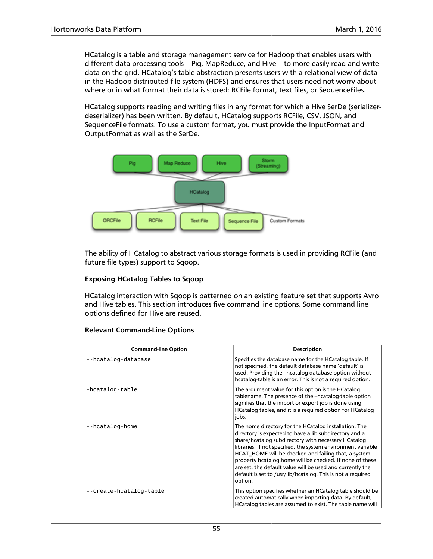HCatalog is a table and storage management service for Hadoop that enables users with different data processing tools – Pig, MapReduce, and Hive – to more easily read and write data on the grid. HCatalog's table abstraction presents users with a relational view of data in the Hadoop distributed file system (HDFS) and ensures that users need not worry about where or in what format their data is stored: RCFile format, text files, or SequenceFiles.

HCatalog supports reading and writing files in any format for which a Hive SerDe (serializerdeserializer) has been written. By default, HCatalog supports RCFile, CSV, JSON, and SequenceFile formats. To use a custom format, you must provide the InputFormat and OutputFormat as well as the SerDe.



The ability of HCatalog to abstract various storage formats is used in providing RCFile (and future file types) support to Sqoop.

#### **Exposing HCatalog Tables to Sqoop**

HCatalog interaction with Sqoop is patterned on an existing feature set that supports Avro and Hive tables. This section introduces five command line options. Some command line options defined for Hive are reused.

#### **Relevant Command-Line Options**

| <b>Command-line Option</b> | <b>Description</b>                                                                                                                                                                                                                                                                                                                                                                                                                                                                                |
|----------------------------|---------------------------------------------------------------------------------------------------------------------------------------------------------------------------------------------------------------------------------------------------------------------------------------------------------------------------------------------------------------------------------------------------------------------------------------------------------------------------------------------------|
| --hcatalog-database        | Specifies the database name for the HCatalog table. If<br>not specified, the default database name 'default' is<br>used. Providing the --hcatalog-database option without -<br>hcatalog-table is an error. This is not a required option.                                                                                                                                                                                                                                                         |
| -hcatalog-table            | The argument value for this option is the HCatalog<br>tablename. The presence of the -hcatalog-table option<br>signifies that the import or export job is done using<br>HCatalog tables, and it is a required option for HCatalog<br>jobs.                                                                                                                                                                                                                                                        |
| --hcatalog-home            | The home directory for the HCatalog installation. The<br>directory is expected to have a lib subdirectory and a<br>share/hcatalog subdirectory with necessary HCatalog<br>libraries. If not specified, the system environment variable<br>HCAT_HOME will be checked and failing that, a system<br>property hcatalog.home will be checked. If none of these<br>are set, the default value will be used and currently the<br>default is set to /usr/lib/hcatalog. This is not a required<br>option. |
| --create-hcatalog-table    | This option specifies whether an HCatalog table should be<br>created automatically when importing data. By default,<br>HCatalog tables are assumed to exist. The table name will                                                                                                                                                                                                                                                                                                                  |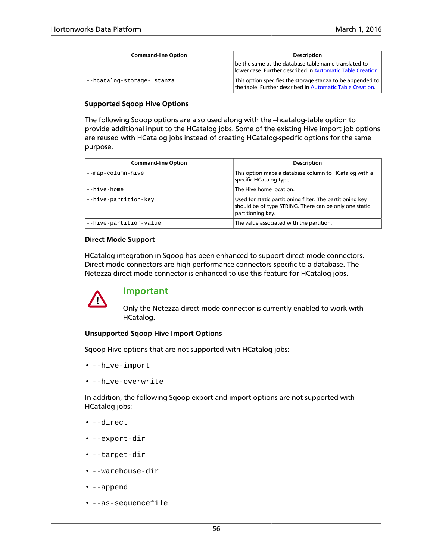| <b>Command-line Option</b> | <b>Description</b>                                                                                                      |
|----------------------------|-------------------------------------------------------------------------------------------------------------------------|
|                            | be the same as the database table name translated to<br>  lower case. Further described in Automatic Table Creation.    |
| --hcatalog-storage- stanza | This option specifies the storage stanza to be appended to<br>the table. Further described in Automatic Table Creation. |

#### **Supported Sqoop Hive Options**

The following Sqoop options are also used along with the --hcatalog-table option to provide additional input to the HCatalog jobs. Some of the existing Hive import job options are reused with HCatalog jobs instead of creating HCatalog-specific options for the same purpose.

| <b>Command-line Option</b> | <b>Description</b>                                                                                                                       |
|----------------------------|------------------------------------------------------------------------------------------------------------------------------------------|
| --map-column-hive          | This option maps a database column to HCatalog with a<br>specific HCatalog type.                                                         |
| --hive-home                | The Hive home location.                                                                                                                  |
| --hive-partition-key       | Used for static partitioning filter. The partitioning key<br>should be of type STRING. There can be only one static<br>partitioning key. |
| --hive-partition-value     | The value associated with the partition.                                                                                                 |

#### **Direct Mode Support**

HCatalog integration in Sqoop has been enhanced to support direct mode connectors. Direct mode connectors are high performance connectors specific to a database. The Netezza direct mode connector is enhanced to use this feature for HCatalog jobs.



#### **Important**

Only the Netezza direct mode connector is currently enabled to work with HCatalog.

#### **Unsupported Sqoop Hive Import Options**

Sqoop Hive options that are not supported with HCatalog jobs:

- --hive-import
- --hive-overwrite

In addition, the following Sqoop export and import options are not supported with HCatalog jobs:

- --direct
- --export-dir
- --target-dir
- --warehouse-dir
- --append
- --as-sequencefile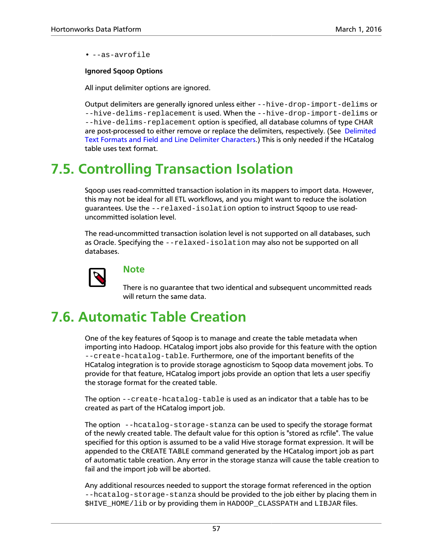• --as-avrofile

#### **Ignored Sqoop Options**

All input delimiter options are ignored.

Output delimiters are generally ignored unless either --hive-drop-import-delims or --hive-delims-replacement is used. When the --hive-drop-import-delims or --hive-delims-replacement option is specified, all database columns of type CHAR are post-processed to either remove or replace the delimiters, respectively. (See [Delimited](#page-63-0) [Text Formats and Field and Line Delimiter Characters](#page-63-0).) This is only needed if the HCatalog table uses text format.

## <span id="page-62-0"></span>**7.5. Controlling Transaction Isolation**

Sqoop uses read-committed transaction isolation in its mappers to import data. However, this may not be ideal for all ETL workflows, and you might want to reduce the isolation guarantees. Use the --relaxed-isolation option to instruct Sqoop to use readuncommitted isolation level.

The read-uncommitted transaction isolation level is not supported on all databases, such as Oracle. Specifying the --relaxed-isolation may also not be supported on all databases.



### **Note**

There is no guarantee that two identical and subsequent uncommitted reads will return the same data.

## <span id="page-62-1"></span>**7.6. Automatic Table Creation**

One of the key features of Sqoop is to manage and create the table metadata when importing into Hadoop. HCatalog import jobs also provide for this feature with the option --create-hcatalog-table. Furthermore, one of the important benefits of the HCatalog integration is to provide storage agnosticism to Sqoop data movement jobs. To provide for that feature, HCatalog import jobs provide an option that lets a user specifiy the storage format for the created table.

The option --create-hcatalog-table is used as an indicator that a table has to be created as part of the HCatalog import job.

The option --hcatalog-storage-stanza can be used to specify the storage format of the newly created table. The default value for this option is "stored as rcfile". The value specified for this option is assumed to be a valid Hive storage format expression. It will be appended to the CREATE TABLE command generated by the HCatalog import job as part of automatic table creation. Any error in the storage stanza will cause the table creation to fail and the import job will be aborted.

Any additional resources needed to support the storage format referenced in the option --hcatalog-storage-stanza should be provided to the job either by placing them in \$HIVE\_HOME/lib or by providing them in HADOOP\_CLASSPATH and LIBJAR files.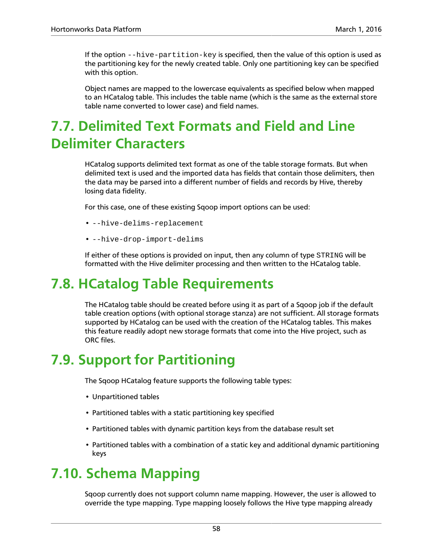If the option --hive-partition-key is specified, then the value of this option is used as the partitioning key for the newly created table. Only one partitioning key can be specified with this option.

Object names are mapped to the lowercase equivalents as specified below when mapped to an HCatalog table. This includes the table name (which is the same as the external store table name converted to lower case) and field names.

## <span id="page-63-0"></span>**7.7. Delimited Text Formats and Field and Line Delimiter Characters**

HCatalog supports delimited text format as one of the table storage formats. But when delimited text is used and the imported data has fields that contain those delimiters, then the data may be parsed into a different number of fields and records by Hive, thereby losing data fidelity.

For this case, one of these existing Sqoop import options can be used:

- --hive-delims-replacement
- --hive-drop-import-delims

If either of these options is provided on input, then any column of type STRING will be formatted with the Hive delimiter processing and then written to the HCatalog table.

## <span id="page-63-1"></span>**7.8. HCatalog Table Requirements**

The HCatalog table should be created before using it as part of a Sqoop job if the default table creation options (with optional storage stanza) are not sufficient. All storage formats supported by HCatalog can be used with the creation of the HCatalog tables. This makes this feature readily adopt new storage formats that come into the Hive project, such as ORC files.

## <span id="page-63-2"></span>**7.9. Support for Partitioning**

The Sqoop HCatalog feature supports the following table types:

- Unpartitioned tables
- Partitioned tables with a static partitioning key specified
- Partitioned tables with dynamic partition keys from the database result set
- Partitioned tables with a combination of a static key and additional dynamic partitioning keys

### <span id="page-63-3"></span>**7.10. Schema Mapping**

Sqoop currently does not support column name mapping. However, the user is allowed to override the type mapping. Type mapping loosely follows the Hive type mapping already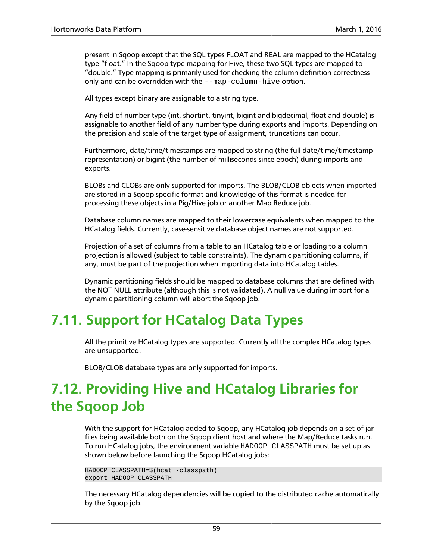present in Sqoop except that the SQL types FLOAT and REAL are mapped to the HCatalog type "float." In the Sqoop type mapping for Hive, these two SQL types are mapped to "double." Type mapping is primarily used for checking the column definition correctness only and can be overridden with the --map-column-hive option.

All types except binary are assignable to a string type.

Any field of number type (int, shortint, tinyint, bigint and bigdecimal, float and double) is assignable to another field of any number type during exports and imports. Depending on the precision and scale of the target type of assignment, truncations can occur.

Furthermore, date/time/timestamps are mapped to string (the full date/time/timestamp representation) or bigint (the number of milliseconds since epoch) during imports and exports.

BLOBs and CLOBs are only supported for imports. The BLOB/CLOB objects when imported are stored in a Sqoop-specific format and knowledge of this format is needed for processing these objects in a Pig/Hive job or another Map Reduce job.

Database column names are mapped to their lowercase equivalents when mapped to the HCatalog fields. Currently, case-sensitive database object names are not supported.

Projection of a set of columns from a table to an HCatalog table or loading to a column projection is allowed (subject to table constraints). The dynamic partitioning columns, if any, must be part of the projection when importing data into HCatalog tables.

Dynamic partitioning fields should be mapped to database columns that are defined with the NOT NULL attribute (although this is not validated). A null value during import for a dynamic partitioning column will abort the Sqoop job.

## <span id="page-64-0"></span>**7.11. Support for HCatalog Data Types**

All the primitive HCatalog types are supported. Currently all the complex HCatalog types are unsupported.

BLOB/CLOB database types are only supported for imports.

## <span id="page-64-1"></span>**7.12. Providing Hive and HCatalog Libraries for the Sqoop Job**

With the support for HCatalog added to Sqoop, any HCatalog job depends on a set of jar files being available both on the Sqoop client host and where the Map/Reduce tasks run. To run HCatalog jobs, the environment variable HADOOP\_CLASSPATH must be set up as shown below before launching the Sqoop HCatalog jobs:

```
HADOOP_CLASSPATH=$(hcat -classpath) 
export HADOOP_CLASSPATH
```
The necessary HCatalog dependencies will be copied to the distributed cache automatically by the Sqoop job.